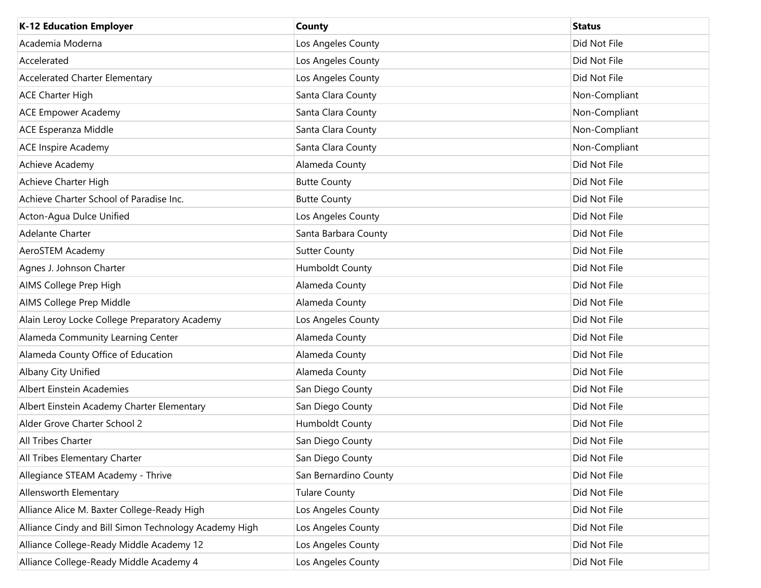| <b>K-12 Education Employer</b>                        | <b>County</b>         | <b>Status</b> |
|-------------------------------------------------------|-----------------------|---------------|
| Academia Moderna                                      | Los Angeles County    | Did Not File  |
| Accelerated                                           | Los Angeles County    | Did Not File  |
| <b>Accelerated Charter Elementary</b>                 | Los Angeles County    | Did Not File  |
| <b>ACE Charter High</b>                               | Santa Clara County    | Non-Compliant |
| <b>ACE Empower Academy</b>                            | Santa Clara County    | Non-Compliant |
| ACE Esperanza Middle                                  | Santa Clara County    | Non-Compliant |
| <b>ACE Inspire Academy</b>                            | Santa Clara County    | Non-Compliant |
| Achieve Academy                                       | Alameda County        | Did Not File  |
| Achieve Charter High                                  | <b>Butte County</b>   | Did Not File  |
| Achieve Charter School of Paradise Inc.               | <b>Butte County</b>   | Did Not File  |
| Acton-Agua Dulce Unified                              | Los Angeles County    | Did Not File  |
| Adelante Charter                                      | Santa Barbara County  | Did Not File  |
| AeroSTEM Academy                                      | <b>Sutter County</b>  | Did Not File  |
| Agnes J. Johnson Charter                              | Humboldt County       | Did Not File  |
| AIMS College Prep High                                | Alameda County        | Did Not File  |
| AIMS College Prep Middle                              | Alameda County        | Did Not File  |
| Alain Leroy Locke College Preparatory Academy         | Los Angeles County    | Did Not File  |
| Alameda Community Learning Center                     | Alameda County        | Did Not File  |
| Alameda County Office of Education                    | Alameda County        | Did Not File  |
| Albany City Unified                                   | Alameda County        | Did Not File  |
| Albert Einstein Academies                             | San Diego County      | Did Not File  |
| Albert Einstein Academy Charter Elementary            | San Diego County      | Did Not File  |
| Alder Grove Charter School 2                          | Humboldt County       | Did Not File  |
| All Tribes Charter                                    | San Diego County      | Did Not File  |
| All Tribes Elementary Charter                         | San Diego County      | Did Not File  |
| Allegiance STEAM Academy - Thrive                     | San Bernardino County | Did Not File  |
| Allensworth Elementary                                | <b>Tulare County</b>  | Did Not File  |
| Alliance Alice M. Baxter College-Ready High           | Los Angeles County    | Did Not File  |
| Alliance Cindy and Bill Simon Technology Academy High | Los Angeles County    | Did Not File  |
| Alliance College-Ready Middle Academy 12              | Los Angeles County    | Did Not File  |
| Alliance College-Ready Middle Academy 4               | Los Angeles County    | Did Not File  |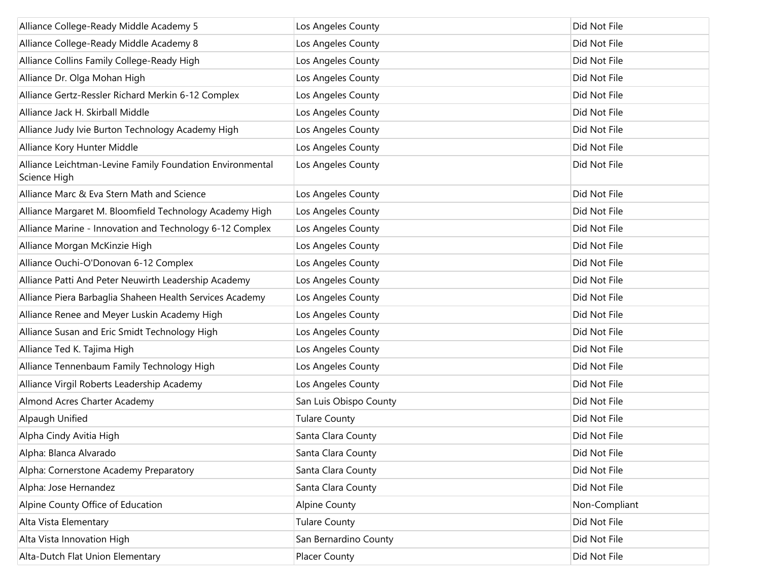| Alliance College-Ready Middle Academy 5                                   | Los Angeles County     | Did Not File  |
|---------------------------------------------------------------------------|------------------------|---------------|
| Alliance College-Ready Middle Academy 8                                   | Los Angeles County     | Did Not File  |
| Alliance Collins Family College-Ready High                                | Los Angeles County     | Did Not File  |
| Alliance Dr. Olga Mohan High                                              | Los Angeles County     | Did Not File  |
| Alliance Gertz-Ressler Richard Merkin 6-12 Complex                        | Los Angeles County     | Did Not File  |
| Alliance Jack H. Skirball Middle                                          | Los Angeles County     | Did Not File  |
| Alliance Judy Ivie Burton Technology Academy High                         | Los Angeles County     | Did Not File  |
| Alliance Kory Hunter Middle                                               | Los Angeles County     | Did Not File  |
| Alliance Leichtman-Levine Family Foundation Environmental<br>Science High | Los Angeles County     | Did Not File  |
| Alliance Marc & Eva Stern Math and Science                                | Los Angeles County     | Did Not File  |
| Alliance Margaret M. Bloomfield Technology Academy High                   | Los Angeles County     | Did Not File  |
| Alliance Marine - Innovation and Technology 6-12 Complex                  | Los Angeles County     | Did Not File  |
| Alliance Morgan McKinzie High                                             | Los Angeles County     | Did Not File  |
| Alliance Ouchi-O'Donovan 6-12 Complex                                     | Los Angeles County     | Did Not File  |
| Alliance Patti And Peter Neuwirth Leadership Academy                      | Los Angeles County     | Did Not File  |
| Alliance Piera Barbaglia Shaheen Health Services Academy                  | Los Angeles County     | Did Not File  |
| Alliance Renee and Meyer Luskin Academy High                              | Los Angeles County     | Did Not File  |
| Alliance Susan and Eric Smidt Technology High                             | Los Angeles County     | Did Not File  |
| Alliance Ted K. Tajima High                                               | Los Angeles County     | Did Not File  |
| Alliance Tennenbaum Family Technology High                                | Los Angeles County     | Did Not File  |
| Alliance Virgil Roberts Leadership Academy                                | Los Angeles County     | Did Not File  |
| Almond Acres Charter Academy                                              | San Luis Obispo County | Did Not File  |
| Alpaugh Unified                                                           | <b>Tulare County</b>   | Did Not File  |
| Alpha Cindy Avitia High                                                   | Santa Clara County     | Did Not File  |
| Alpha: Blanca Alvarado                                                    | Santa Clara County     | Did Not File  |
| Alpha: Cornerstone Academy Preparatory                                    | Santa Clara County     | Did Not File  |
| Alpha: Jose Hernandez                                                     | Santa Clara County     | Did Not File  |
| Alpine County Office of Education                                         | <b>Alpine County</b>   | Non-Compliant |
| Alta Vista Elementary                                                     | <b>Tulare County</b>   | Did Not File  |
| Alta Vista Innovation High                                                | San Bernardino County  | Did Not File  |
| Alta-Dutch Flat Union Elementary                                          | Placer County          | Did Not File  |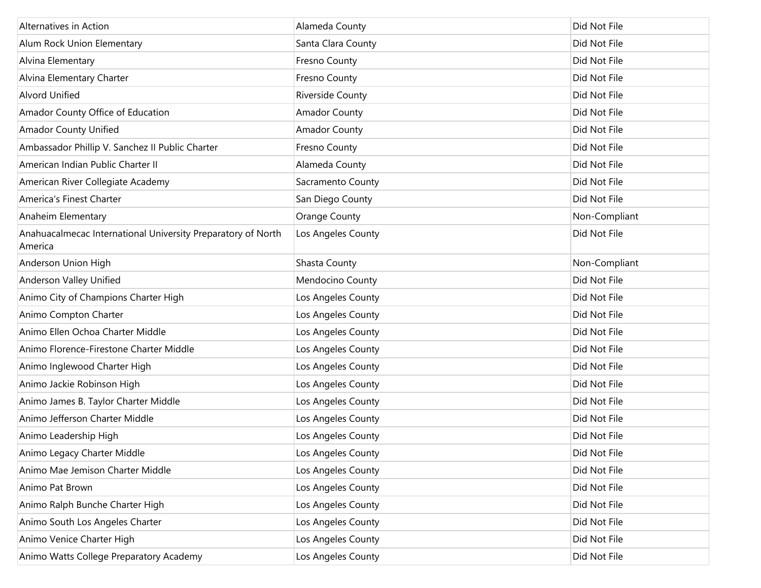| Alternatives in Action                                                  | Alameda County       | Did Not File  |
|-------------------------------------------------------------------------|----------------------|---------------|
| Alum Rock Union Elementary                                              | Santa Clara County   | Did Not File  |
| Alvina Elementary                                                       | Fresno County        | Did Not File  |
| Alvina Elementary Charter                                               | Fresno County        | Did Not File  |
| <b>Alvord Unified</b>                                                   | Riverside County     | Did Not File  |
| Amador County Office of Education                                       | <b>Amador County</b> | Did Not File  |
| <b>Amador County Unified</b>                                            | <b>Amador County</b> | Did Not File  |
| Ambassador Phillip V. Sanchez II Public Charter                         | Fresno County        | Did Not File  |
| American Indian Public Charter II                                       | Alameda County       | Did Not File  |
| American River Collegiate Academy                                       | Sacramento County    | Did Not File  |
| America's Finest Charter                                                | San Diego County     | Did Not File  |
| Anaheim Elementary                                                      | Orange County        | Non-Compliant |
| Anahuacalmecac International University Preparatory of North<br>America | Los Angeles County   | Did Not File  |
| Anderson Union High                                                     | Shasta County        | Non-Compliant |
| Anderson Valley Unified                                                 | Mendocino County     | Did Not File  |
| Animo City of Champions Charter High                                    | Los Angeles County   | Did Not File  |
| Animo Compton Charter                                                   | Los Angeles County   | Did Not File  |
| Animo Ellen Ochoa Charter Middle                                        | Los Angeles County   | Did Not File  |
| Animo Florence-Firestone Charter Middle                                 | Los Angeles County   | Did Not File  |
| Animo Inglewood Charter High                                            | Los Angeles County   | Did Not File  |
| Animo Jackie Robinson High                                              | Los Angeles County   | Did Not File  |
| Animo James B. Taylor Charter Middle                                    | Los Angeles County   | Did Not File  |
| Animo Jefferson Charter Middle                                          | Los Angeles County   | Did Not File  |
| Animo Leadership High                                                   | Los Angeles County   | Did Not File  |
| Animo Legacy Charter Middle                                             | Los Angeles County   | Did Not File  |
| Animo Mae Jemison Charter Middle                                        | Los Angeles County   | Did Not File  |
| Animo Pat Brown                                                         | Los Angeles County   | Did Not File  |
| Animo Ralph Bunche Charter High                                         | Los Angeles County   | Did Not File  |
| Animo South Los Angeles Charter                                         | Los Angeles County   | Did Not File  |
| Animo Venice Charter High                                               | Los Angeles County   | Did Not File  |
| Animo Watts College Preparatory Academy                                 | Los Angeles County   | Did Not File  |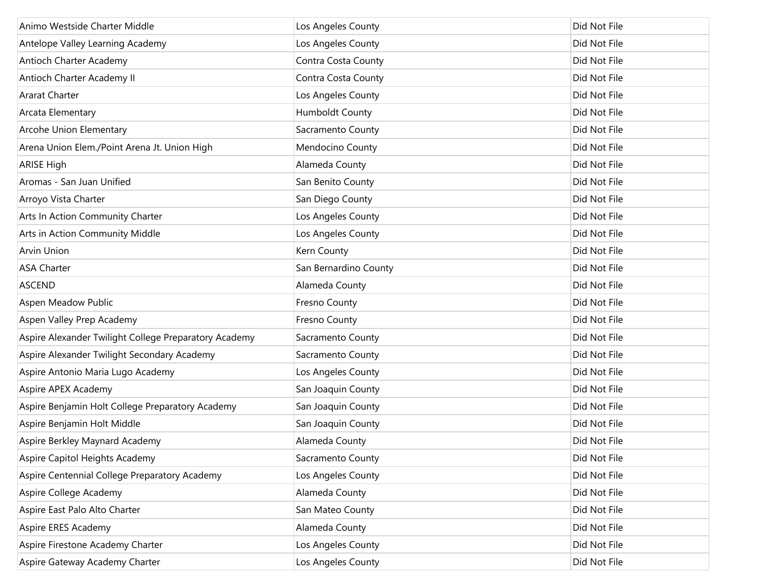| Animo Westside Charter Middle                         | Los Angeles County    | Did Not File |
|-------------------------------------------------------|-----------------------|--------------|
| Antelope Valley Learning Academy                      | Los Angeles County    | Did Not File |
| Antioch Charter Academy                               | Contra Costa County   | Did Not File |
| Antioch Charter Academy II                            | Contra Costa County   | Did Not File |
| <b>Ararat Charter</b>                                 | Los Angeles County    | Did Not File |
| Arcata Elementary                                     | Humboldt County       | Did Not File |
| Arcohe Union Elementary                               | Sacramento County     | Did Not File |
| Arena Union Elem./Point Arena Jt. Union High          | Mendocino County      | Did Not File |
| <b>ARISE High</b>                                     | Alameda County        | Did Not File |
| Aromas - San Juan Unified                             | San Benito County     | Did Not File |
| Arroyo Vista Charter                                  | San Diego County      | Did Not File |
| Arts In Action Community Charter                      | Los Angeles County    | Did Not File |
| Arts in Action Community Middle                       | Los Angeles County    | Did Not File |
| <b>Arvin Union</b>                                    | Kern County           | Did Not File |
| <b>ASA Charter</b>                                    | San Bernardino County | Did Not File |
| <b>ASCEND</b>                                         | Alameda County        | Did Not File |
| Aspen Meadow Public                                   | Fresno County         | Did Not File |
| Aspen Valley Prep Academy                             | Fresno County         | Did Not File |
| Aspire Alexander Twilight College Preparatory Academy | Sacramento County     | Did Not File |
| Aspire Alexander Twilight Secondary Academy           | Sacramento County     | Did Not File |
| Aspire Antonio Maria Lugo Academy                     | Los Angeles County    | Did Not File |
| Aspire APEX Academy                                   | San Joaquin County    | Did Not File |
| Aspire Benjamin Holt College Preparatory Academy      | San Joaquin County    | Did Not File |
| Aspire Benjamin Holt Middle                           | San Joaquin County    | Did Not File |
| Aspire Berkley Maynard Academy                        | Alameda County        | Did Not File |
| Aspire Capitol Heights Academy                        | Sacramento County     | Did Not File |
| Aspire Centennial College Preparatory Academy         | Los Angeles County    | Did Not File |
| Aspire College Academy                                | Alameda County        | Did Not File |
| Aspire East Palo Alto Charter                         | San Mateo County      | Did Not File |
| Aspire ERES Academy                                   | Alameda County        | Did Not File |
| Aspire Firestone Academy Charter                      | Los Angeles County    | Did Not File |
| Aspire Gateway Academy Charter                        | Los Angeles County    | Did Not File |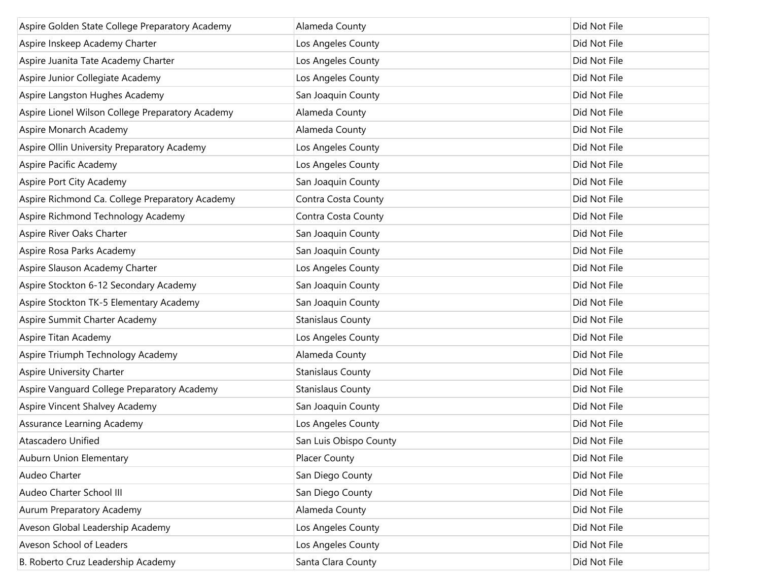| Aspire Golden State College Preparatory Academy  | Alameda County           | Did Not File |
|--------------------------------------------------|--------------------------|--------------|
| Aspire Inskeep Academy Charter                   | Los Angeles County       | Did Not File |
| Aspire Juanita Tate Academy Charter              | Los Angeles County       | Did Not File |
| Aspire Junior Collegiate Academy                 | Los Angeles County       | Did Not File |
| Aspire Langston Hughes Academy                   | San Joaquin County       | Did Not File |
| Aspire Lionel Wilson College Preparatory Academy | Alameda County           | Did Not File |
| Aspire Monarch Academy                           | Alameda County           | Did Not File |
| Aspire Ollin University Preparatory Academy      | Los Angeles County       | Did Not File |
| Aspire Pacific Academy                           | Los Angeles County       | Did Not File |
| Aspire Port City Academy                         | San Joaquin County       | Did Not File |
| Aspire Richmond Ca. College Preparatory Academy  | Contra Costa County      | Did Not File |
| Aspire Richmond Technology Academy               | Contra Costa County      | Did Not File |
| Aspire River Oaks Charter                        | San Joaquin County       | Did Not File |
| Aspire Rosa Parks Academy                        | San Joaquin County       | Did Not File |
| Aspire Slauson Academy Charter                   | Los Angeles County       | Did Not File |
| Aspire Stockton 6-12 Secondary Academy           | San Joaquin County       | Did Not File |
| Aspire Stockton TK-5 Elementary Academy          | San Joaquin County       | Did Not File |
| Aspire Summit Charter Academy                    | <b>Stanislaus County</b> | Did Not File |
| Aspire Titan Academy                             | Los Angeles County       | Did Not File |
| Aspire Triumph Technology Academy                | Alameda County           | Did Not File |
| Aspire University Charter                        | <b>Stanislaus County</b> | Did Not File |
| Aspire Vanguard College Preparatory Academy      | <b>Stanislaus County</b> | Did Not File |
| Aspire Vincent Shalvey Academy                   | San Joaquin County       | Did Not File |
| Assurance Learning Academy                       | Los Angeles County       | Did Not File |
| <b>Atascadero Unified</b>                        | San Luis Obispo County   | Did Not File |
| Auburn Union Elementary                          | <b>Placer County</b>     | Did Not File |
| Audeo Charter                                    | San Diego County         | Did Not File |
| Audeo Charter School III                         | San Diego County         | Did Not File |
| Aurum Preparatory Academy                        | Alameda County           | Did Not File |
| Aveson Global Leadership Academy                 | Los Angeles County       | Did Not File |
| Aveson School of Leaders                         | Los Angeles County       | Did Not File |
| B. Roberto Cruz Leadership Academy               | Santa Clara County       | Did Not File |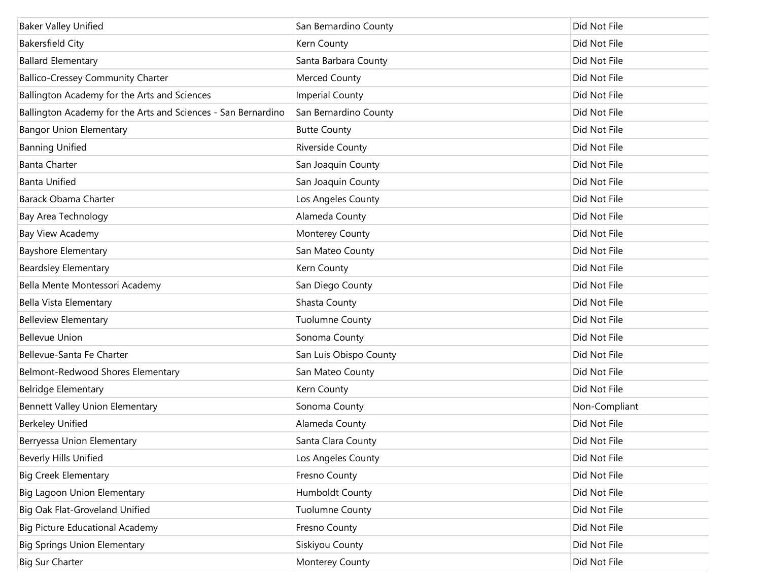| <b>Baker Valley Unified</b>                                   | San Bernardino County  | Did Not File  |
|---------------------------------------------------------------|------------------------|---------------|
| <b>Bakersfield City</b>                                       | Kern County            | Did Not File  |
| <b>Ballard Elementary</b>                                     | Santa Barbara County   | Did Not File  |
| <b>Ballico-Cressey Community Charter</b>                      | Merced County          | Did Not File  |
| Ballington Academy for the Arts and Sciences                  | <b>Imperial County</b> | Did Not File  |
| Ballington Academy for the Arts and Sciences - San Bernardino | San Bernardino County  | Did Not File  |
| <b>Bangor Union Elementary</b>                                | <b>Butte County</b>    | Did Not File  |
| <b>Banning Unified</b>                                        | Riverside County       | Did Not File  |
| <b>Banta Charter</b>                                          | San Joaquin County     | Did Not File  |
| <b>Banta Unified</b>                                          | San Joaquin County     | Did Not File  |
| Barack Obama Charter                                          | Los Angeles County     | Did Not File  |
| Bay Area Technology                                           | Alameda County         | Did Not File  |
| Bay View Academy                                              | Monterey County        | Did Not File  |
| Bayshore Elementary                                           | San Mateo County       | Did Not File  |
| <b>Beardsley Elementary</b>                                   | Kern County            | Did Not File  |
| Bella Mente Montessori Academy                                | San Diego County       | Did Not File  |
| Bella Vista Elementary                                        | Shasta County          | Did Not File  |
| <b>Belleview Elementary</b>                                   | <b>Tuolumne County</b> | Did Not File  |
| <b>Bellevue Union</b>                                         | Sonoma County          | Did Not File  |
| Bellevue-Santa Fe Charter                                     | San Luis Obispo County | Did Not File  |
| Belmont-Redwood Shores Elementary                             | San Mateo County       | Did Not File  |
| Belridge Elementary                                           | Kern County            | Did Not File  |
| Bennett Valley Union Elementary                               | Sonoma County          | Non-Compliant |
| <b>Berkeley Unified</b>                                       | Alameda County         | Did Not File  |
| Berryessa Union Elementary                                    | Santa Clara County     | Did Not File  |
| <b>Beverly Hills Unified</b>                                  | Los Angeles County     | Did Not File  |
| <b>Big Creek Elementary</b>                                   | Fresno County          | Did Not File  |
| Big Lagoon Union Elementary                                   | Humboldt County        | Did Not File  |
| Big Oak Flat-Groveland Unified                                | <b>Tuolumne County</b> | Did Not File  |
| <b>Big Picture Educational Academy</b>                        | Fresno County          | Did Not File  |
| <b>Big Springs Union Elementary</b>                           | Siskiyou County        | Did Not File  |
| <b>Big Sur Charter</b>                                        | Monterey County        | Did Not File  |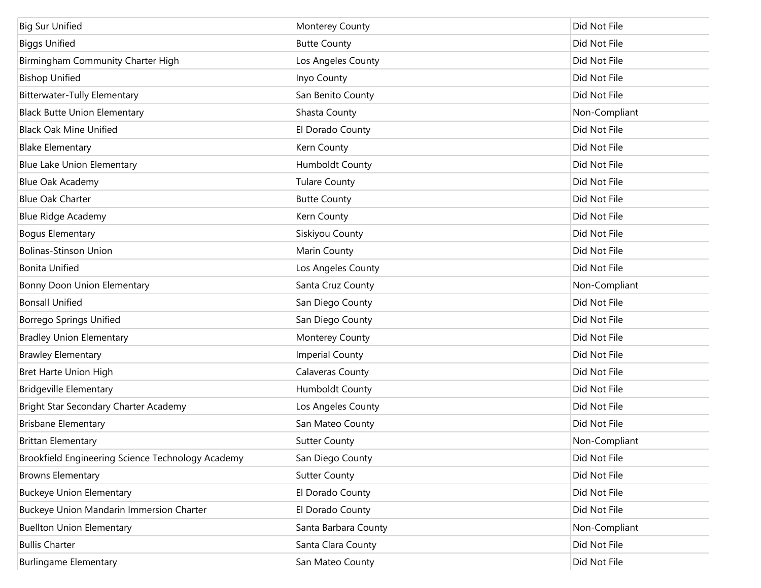| <b>Big Sur Unified</b>                            | Monterey County        | Did Not File  |
|---------------------------------------------------|------------------------|---------------|
| <b>Biggs Unified</b>                              | <b>Butte County</b>    | Did Not File  |
| Birmingham Community Charter High                 | Los Angeles County     | Did Not File  |
| <b>Bishop Unified</b>                             | Inyo County            | Did Not File  |
| <b>Bitterwater-Tully Elementary</b>               | San Benito County      | Did Not File  |
| <b>Black Butte Union Elementary</b>               | Shasta County          | Non-Compliant |
| <b>Black Oak Mine Unified</b>                     | El Dorado County       | Did Not File  |
| <b>Blake Elementary</b>                           | Kern County            | Did Not File  |
| Blue Lake Union Elementary                        | Humboldt County        | Did Not File  |
| Blue Oak Academy                                  | <b>Tulare County</b>   | Did Not File  |
| <b>Blue Oak Charter</b>                           | <b>Butte County</b>    | Did Not File  |
| <b>Blue Ridge Academy</b>                         | Kern County            | Did Not File  |
| <b>Bogus Elementary</b>                           | Siskiyou County        | Did Not File  |
| <b>Bolinas-Stinson Union</b>                      | Marin County           | Did Not File  |
| <b>Bonita Unified</b>                             | Los Angeles County     | Did Not File  |
| Bonny Doon Union Elementary                       | Santa Cruz County      | Non-Compliant |
| <b>Bonsall Unified</b>                            | San Diego County       | Did Not File  |
| <b>Borrego Springs Unified</b>                    | San Diego County       | Did Not File  |
| <b>Bradley Union Elementary</b>                   | Monterey County        | Did Not File  |
| <b>Brawley Elementary</b>                         | <b>Imperial County</b> | Did Not File  |
| Bret Harte Union High                             | Calaveras County       | Did Not File  |
| <b>Bridgeville Elementary</b>                     | Humboldt County        | Did Not File  |
| Bright Star Secondary Charter Academy             | Los Angeles County     | Did Not File  |
| <b>Brisbane Elementary</b>                        | San Mateo County       | Did Not File  |
| <b>Brittan Elementary</b>                         | <b>Sutter County</b>   | Non-Compliant |
| Brookfield Engineering Science Technology Academy | San Diego County       | Did Not File  |
| <b>Browns Elementary</b>                          | <b>Sutter County</b>   | Did Not File  |
| <b>Buckeye Union Elementary</b>                   | El Dorado County       | Did Not File  |
| Buckeye Union Mandarin Immersion Charter          | El Dorado County       | Did Not File  |
| <b>Buellton Union Elementary</b>                  | Santa Barbara County   | Non-Compliant |
| <b>Bullis Charter</b>                             | Santa Clara County     | Did Not File  |
| <b>Burlingame Elementary</b>                      | San Mateo County       | Did Not File  |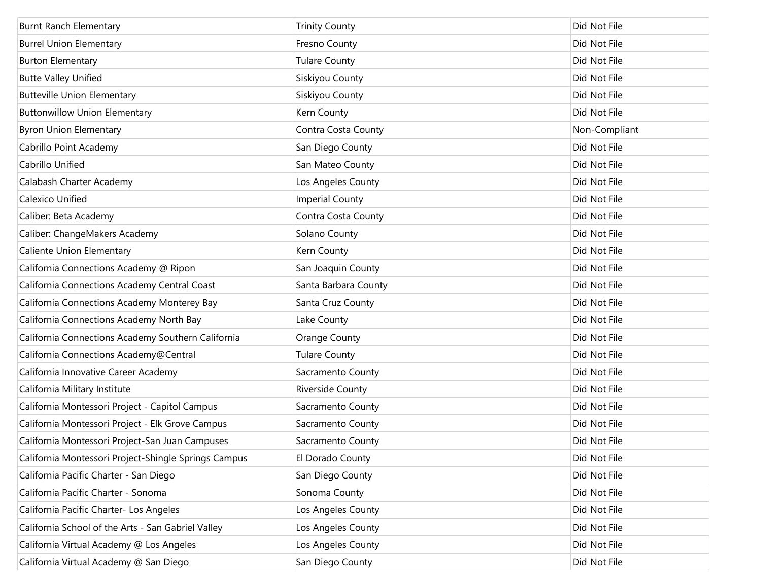| <b>Burnt Ranch Elementary</b>                        | <b>Trinity County</b>  | Did Not File  |
|------------------------------------------------------|------------------------|---------------|
| <b>Burrel Union Elementary</b>                       | Fresno County          | Did Not File  |
| <b>Burton Elementary</b>                             | <b>Tulare County</b>   | Did Not File  |
| <b>Butte Valley Unified</b>                          | Siskiyou County        | Did Not File  |
| <b>Butteville Union Elementary</b>                   | Siskiyou County        | Did Not File  |
| <b>Buttonwillow Union Elementary</b>                 | Kern County            | Did Not File  |
| <b>Byron Union Elementary</b>                        | Contra Costa County    | Non-Compliant |
| Cabrillo Point Academy                               | San Diego County       | Did Not File  |
| Cabrillo Unified                                     | San Mateo County       | Did Not File  |
| Calabash Charter Academy                             | Los Angeles County     | Did Not File  |
| Calexico Unified                                     | <b>Imperial County</b> | Did Not File  |
| Caliber: Beta Academy                                | Contra Costa County    | Did Not File  |
| Caliber: ChangeMakers Academy                        | Solano County          | Did Not File  |
| Caliente Union Elementary                            | Kern County            | Did Not File  |
| California Connections Academy @ Ripon               | San Joaquin County     | Did Not File  |
| California Connections Academy Central Coast         | Santa Barbara County   | Did Not File  |
| California Connections Academy Monterey Bay          | Santa Cruz County      | Did Not File  |
| California Connections Academy North Bay             | Lake County            | Did Not File  |
| California Connections Academy Southern California   | Orange County          | Did Not File  |
| California Connections Academy@Central               | <b>Tulare County</b>   | Did Not File  |
| California Innovative Career Academy                 | Sacramento County      | Did Not File  |
| California Military Institute                        | Riverside County       | Did Not File  |
| California Montessori Project - Capitol Campus       | Sacramento County      | Did Not File  |
| California Montessori Project - Elk Grove Campus     | Sacramento County      | Did Not File  |
| California Montessori Project-San Juan Campuses      | Sacramento County      | Did Not File  |
| California Montessori Project-Shingle Springs Campus | El Dorado County       | Did Not File  |
| California Pacific Charter - San Diego               | San Diego County       | Did Not File  |
| California Pacific Charter - Sonoma                  | Sonoma County          | Did Not File  |
| California Pacific Charter- Los Angeles              | Los Angeles County     | Did Not File  |
| California School of the Arts - San Gabriel Valley   | Los Angeles County     | Did Not File  |
| California Virtual Academy @ Los Angeles             | Los Angeles County     | Did Not File  |
| California Virtual Academy @ San Diego               | San Diego County       | Did Not File  |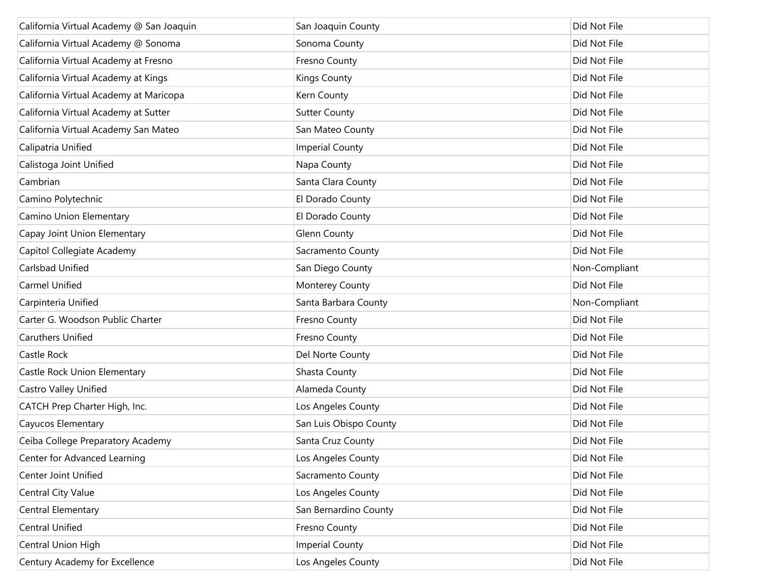| California Virtual Academy @ San Joaquin | San Joaquin County     | Did Not File  |
|------------------------------------------|------------------------|---------------|
| California Virtual Academy @ Sonoma      | Sonoma County          | Did Not File  |
| California Virtual Academy at Fresno     | Fresno County          | Did Not File  |
| California Virtual Academy at Kings      | <b>Kings County</b>    | Did Not File  |
| California Virtual Academy at Maricopa   | Kern County            | Did Not File  |
| California Virtual Academy at Sutter     | <b>Sutter County</b>   | Did Not File  |
| California Virtual Academy San Mateo     | San Mateo County       | Did Not File  |
| Calipatria Unified                       | <b>Imperial County</b> | Did Not File  |
| Calistoga Joint Unified                  | Napa County            | Did Not File  |
| Cambrian                                 | Santa Clara County     | Did Not File  |
| Camino Polytechnic                       | El Dorado County       | Did Not File  |
| Camino Union Elementary                  | El Dorado County       | Did Not File  |
| Capay Joint Union Elementary             | Glenn County           | Did Not File  |
| Capitol Collegiate Academy               | Sacramento County      | Did Not File  |
| Carlsbad Unified                         | San Diego County       | Non-Compliant |
| <b>Carmel Unified</b>                    | Monterey County        | Did Not File  |
| Carpinteria Unified                      | Santa Barbara County   | Non-Compliant |
| Carter G. Woodson Public Charter         | Fresno County          | Did Not File  |
| <b>Caruthers Unified</b>                 | Fresno County          | Did Not File  |
| Castle Rock                              | Del Norte County       | Did Not File  |
| Castle Rock Union Elementary             | Shasta County          | Did Not File  |
| Castro Valley Unified                    | Alameda County         | Did Not File  |
| CATCH Prep Charter High, Inc.            | Los Angeles County     | Did Not File  |
| Cayucos Elementary                       | San Luis Obispo County | Did Not File  |
| Ceiba College Preparatory Academy        | Santa Cruz County      | Did Not File  |
| Center for Advanced Learning             | Los Angeles County     | Did Not File  |
| <b>Center Joint Unified</b>              | Sacramento County      | Did Not File  |
| Central City Value                       | Los Angeles County     | Did Not File  |
| Central Elementary                       | San Bernardino County  | Did Not File  |
| <b>Central Unified</b>                   | Fresno County          | Did Not File  |
| Central Union High                       | <b>Imperial County</b> | Did Not File  |
| Century Academy for Excellence           | Los Angeles County     | Did Not File  |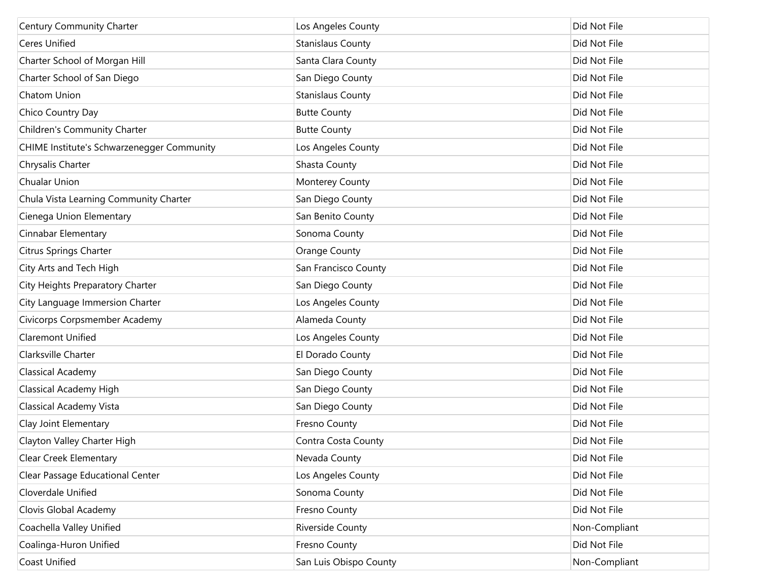| Century Community Charter                  | Los Angeles County       | Did Not File  |
|--------------------------------------------|--------------------------|---------------|
| <b>Ceres Unified</b>                       | <b>Stanislaus County</b> | Did Not File  |
| Charter School of Morgan Hill              | Santa Clara County       | Did Not File  |
| Charter School of San Diego                | San Diego County         | Did Not File  |
| Chatom Union                               | <b>Stanislaus County</b> | Did Not File  |
| Chico Country Day                          | <b>Butte County</b>      | Did Not File  |
| Children's Community Charter               | <b>Butte County</b>      | Did Not File  |
| CHIME Institute's Schwarzenegger Community | Los Angeles County       | Did Not File  |
| Chrysalis Charter                          | Shasta County            | Did Not File  |
| Chualar Union                              | Monterey County          | Did Not File  |
| Chula Vista Learning Community Charter     | San Diego County         | Did Not File  |
| Cienega Union Elementary                   | San Benito County        | Did Not File  |
| Cinnabar Elementary                        | Sonoma County            | Did Not File  |
| Citrus Springs Charter                     | Orange County            | Did Not File  |
| City Arts and Tech High                    | San Francisco County     | Did Not File  |
| City Heights Preparatory Charter           | San Diego County         | Did Not File  |
| City Language Immersion Charter            | Los Angeles County       | Did Not File  |
| Civicorps Corpsmember Academy              | Alameda County           | Did Not File  |
| <b>Claremont Unified</b>                   | Los Angeles County       | Did Not File  |
| Clarksville Charter                        | El Dorado County         | Did Not File  |
| <b>Classical Academy</b>                   | San Diego County         | Did Not File  |
| <b>Classical Academy High</b>              | San Diego County         | Did Not File  |
| <b>Classical Academy Vista</b>             | San Diego County         | Did Not File  |
| Clay Joint Elementary                      | Fresno County            | Did Not File  |
| Clayton Valley Charter High                | Contra Costa County      | Did Not File  |
| Clear Creek Elementary                     | Nevada County            | Did Not File  |
| Clear Passage Educational Center           | Los Angeles County       | Did Not File  |
| Cloverdale Unified                         | Sonoma County            | Did Not File  |
| Clovis Global Academy                      | Fresno County            | Did Not File  |
| Coachella Valley Unified                   | Riverside County         | Non-Compliant |
| Coalinga-Huron Unified                     | Fresno County            | Did Not File  |
| Coast Unified                              | San Luis Obispo County   | Non-Compliant |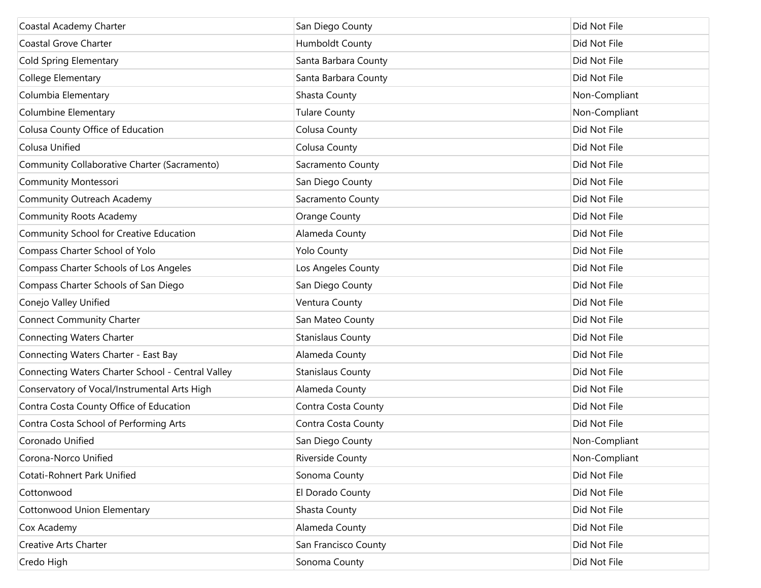| Coastal Academy Charter                           | San Diego County         | Did Not File  |
|---------------------------------------------------|--------------------------|---------------|
| Coastal Grove Charter                             | Humboldt County          | Did Not File  |
| <b>Cold Spring Elementary</b>                     | Santa Barbara County     | Did Not File  |
| College Elementary                                | Santa Barbara County     | Did Not File  |
| Columbia Elementary                               | Shasta County            | Non-Compliant |
| <b>Columbine Elementary</b>                       | Tulare County            | Non-Compliant |
| Colusa County Office of Education                 | Colusa County            | Did Not File  |
| Colusa Unified                                    | Colusa County            | Did Not File  |
| Community Collaborative Charter (Sacramento)      | Sacramento County        | Did Not File  |
| Community Montessori                              | San Diego County         | Did Not File  |
| <b>Community Outreach Academy</b>                 | Sacramento County        | Did Not File  |
| <b>Community Roots Academy</b>                    | Orange County            | Did Not File  |
| Community School for Creative Education           | Alameda County           | Did Not File  |
| Compass Charter School of Yolo                    | <b>Yolo County</b>       | Did Not File  |
| Compass Charter Schools of Los Angeles            | Los Angeles County       | Did Not File  |
| Compass Charter Schools of San Diego              | San Diego County         | Did Not File  |
| Conejo Valley Unified                             | Ventura County           | Did Not File  |
| <b>Connect Community Charter</b>                  | San Mateo County         | Did Not File  |
| <b>Connecting Waters Charter</b>                  | <b>Stanislaus County</b> | Did Not File  |
| Connecting Waters Charter - East Bay              | Alameda County           | Did Not File  |
| Connecting Waters Charter School - Central Valley | <b>Stanislaus County</b> | Did Not File  |
| Conservatory of Vocal/Instrumental Arts High      | Alameda County           | Did Not File  |
| Contra Costa County Office of Education           | Contra Costa County      | Did Not File  |
| Contra Costa School of Performing Arts            | Contra Costa County      | Did Not File  |
| Coronado Unified                                  | San Diego County         | Non-Compliant |
| Corona-Norco Unified                              | Riverside County         | Non-Compliant |
| Cotati-Rohnert Park Unified                       | Sonoma County            | Did Not File  |
| Cottonwood                                        | El Dorado County         | Did Not File  |
| Cottonwood Union Elementary                       | Shasta County            | Did Not File  |
| Cox Academy                                       | Alameda County           | Did Not File  |
| <b>Creative Arts Charter</b>                      | San Francisco County     | Did Not File  |
| Credo High                                        | Sonoma County            | Did Not File  |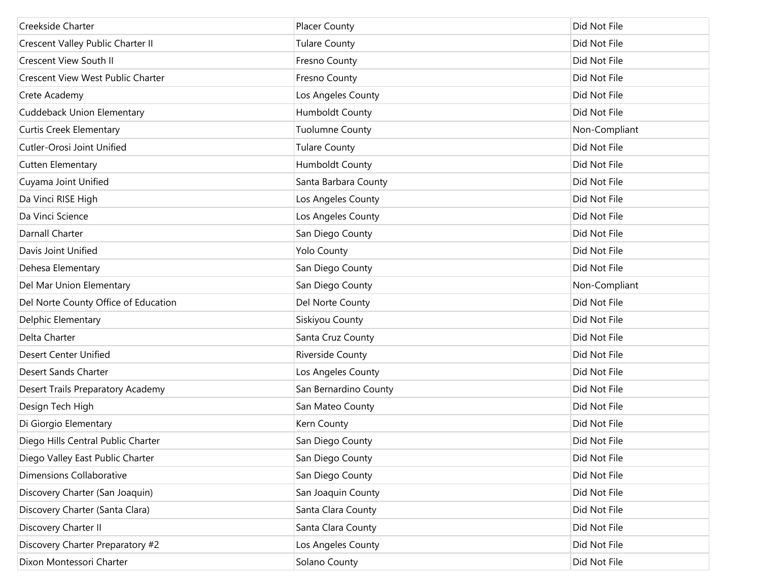| Creekside Charter                    | <b>Placer County</b>   | Did Not File  |
|--------------------------------------|------------------------|---------------|
| Crescent Valley Public Charter II    | <b>Tulare County</b>   | Did Not File  |
| <b>Crescent View South II</b>        | Fresno County          | Did Not File  |
| Crescent View West Public Charter    | Fresno County          | Did Not File  |
| Crete Academy                        | Los Angeles County     | Did Not File  |
| <b>Cuddeback Union Elementary</b>    | <b>Humboldt County</b> | Did Not File  |
| <b>Curtis Creek Elementary</b>       | <b>Tuolumne County</b> | Non-Compliant |
| Cutler-Orosi Joint Unified           | <b>Tulare County</b>   | Did Not File  |
| Cutten Elementary                    | Humboldt County        | Did Not File  |
| Cuyama Joint Unified                 | Santa Barbara County   | Did Not File  |
| Da Vinci RISE High                   | Los Angeles County     | Did Not File  |
| Da Vinci Science                     | Los Angeles County     | Did Not File  |
| Darnall Charter                      | San Diego County       | Did Not File  |
| Davis Joint Unified                  | <b>Yolo County</b>     | Did Not File  |
| Dehesa Elementary                    | San Diego County       | Did Not File  |
| Del Mar Union Elementary             | San Diego County       | Non-Compliant |
| Del Norte County Office of Education | Del Norte County       | Did Not File  |
| Delphic Elementary                   | Siskiyou County        | Did Not File  |
| Delta Charter                        | Santa Cruz County      | Did Not File  |
| Desert Center Unified                | Riverside County       | Did Not File  |
| Desert Sands Charter                 | Los Angeles County     | Did Not File  |
| Desert Trails Preparatory Academy    | San Bernardino County  | Did Not File  |
| Design Tech High                     | San Mateo County       | Did Not File  |
| Di Giorgio Elementary                | Kern County            | Did Not File  |
| Diego Hills Central Public Charter   | San Diego County       | Did Not File  |
| Diego Valley East Public Charter     | San Diego County       | Did Not File  |
| Dimensions Collaborative             | San Diego County       | Did Not File  |
| Discovery Charter (San Joaquin)      | San Joaquin County     | Did Not File  |
| Discovery Charter (Santa Clara)      | Santa Clara County     | Did Not File  |
| Discovery Charter II                 | Santa Clara County     | Did Not File  |
| Discovery Charter Preparatory #2     | Los Angeles County     | Did Not File  |
| Dixon Montessori Charter             | Solano County          | Did Not File  |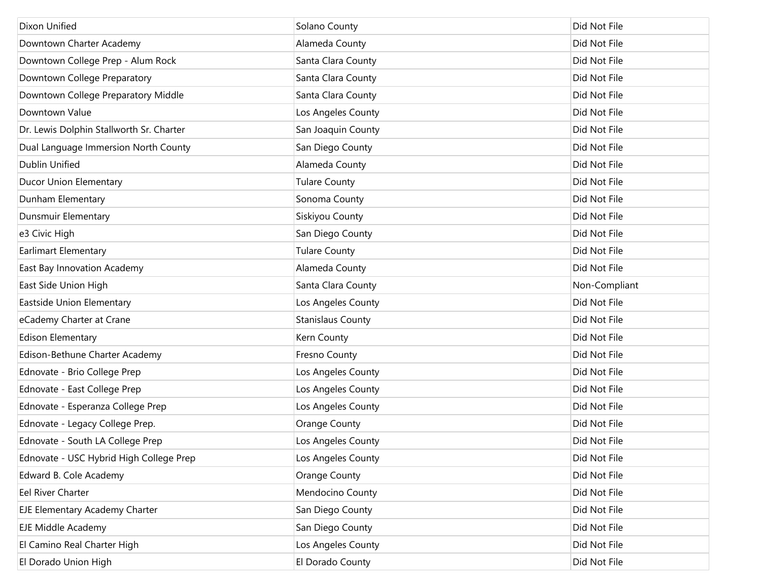| Dixon Unified                            | Solano County            | Did Not File  |
|------------------------------------------|--------------------------|---------------|
| Downtown Charter Academy                 | Alameda County           | Did Not File  |
| Downtown College Prep - Alum Rock        | Santa Clara County       | Did Not File  |
| Downtown College Preparatory             | Santa Clara County       | Did Not File  |
| Downtown College Preparatory Middle      | Santa Clara County       | Did Not File  |
| Downtown Value                           | Los Angeles County       | Did Not File  |
| Dr. Lewis Dolphin Stallworth Sr. Charter | San Joaquin County       | Did Not File  |
| Dual Language Immersion North County     | San Diego County         | Did Not File  |
| <b>Dublin Unified</b>                    | Alameda County           | Did Not File  |
| <b>Ducor Union Elementary</b>            | <b>Tulare County</b>     | Did Not File  |
| Dunham Elementary                        | Sonoma County            | Did Not File  |
| Dunsmuir Elementary                      | Siskiyou County          | Did Not File  |
| e3 Civic High                            | San Diego County         | Did Not File  |
| <b>Earlimart Elementary</b>              | <b>Tulare County</b>     | Did Not File  |
| East Bay Innovation Academy              | Alameda County           | Did Not File  |
| East Side Union High                     | Santa Clara County       | Non-Compliant |
| Eastside Union Elementary                | Los Angeles County       | Did Not File  |
| eCademy Charter at Crane                 | <b>Stanislaus County</b> | Did Not File  |
| <b>Edison Elementary</b>                 | Kern County              | Did Not File  |
| Edison-Bethune Charter Academy           | Fresno County            | Did Not File  |
| Ednovate - Brio College Prep             | Los Angeles County       | Did Not File  |
| Ednovate - East College Prep             | Los Angeles County       | Did Not File  |
| Ednovate - Esperanza College Prep        | Los Angeles County       | Did Not File  |
| Ednovate - Legacy College Prep.          | Orange County            | Did Not File  |
| Ednovate - South LA College Prep         | Los Angeles County       | Did Not File  |
| Ednovate - USC Hybrid High College Prep  | Los Angeles County       | Did Not File  |
| Edward B. Cole Academy                   | Orange County            | Did Not File  |
| Eel River Charter                        | Mendocino County         | Did Not File  |
| EJE Elementary Academy Charter           | San Diego County         | Did Not File  |
| <b>EJE Middle Academy</b>                | San Diego County         | Did Not File  |
| El Camino Real Charter High              | Los Angeles County       | Did Not File  |
| El Dorado Union High                     | El Dorado County         | Did Not File  |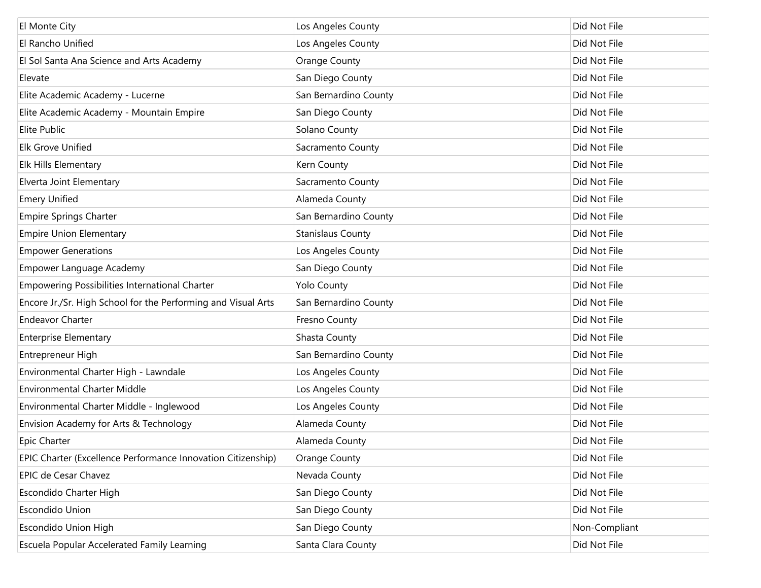| El Monte City                                                 | Los Angeles County       | Did Not File  |
|---------------------------------------------------------------|--------------------------|---------------|
| El Rancho Unified                                             | Los Angeles County       | Did Not File  |
| El Sol Santa Ana Science and Arts Academy                     | <b>Orange County</b>     | Did Not File  |
| Elevate                                                       | San Diego County         | Did Not File  |
| Elite Academic Academy - Lucerne                              | San Bernardino County    | Did Not File  |
| Elite Academic Academy - Mountain Empire                      | San Diego County         | Did Not File  |
| Elite Public                                                  | Solano County            | Did Not File  |
| <b>Elk Grove Unified</b>                                      | Sacramento County        | Did Not File  |
| Elk Hills Elementary                                          | Kern County              | Did Not File  |
| Elverta Joint Elementary                                      | Sacramento County        | Did Not File  |
| <b>Emery Unified</b>                                          | Alameda County           | Did Not File  |
| <b>Empire Springs Charter</b>                                 | San Bernardino County    | Did Not File  |
| <b>Empire Union Elementary</b>                                | <b>Stanislaus County</b> | Did Not File  |
| <b>Empower Generations</b>                                    | Los Angeles County       | Did Not File  |
| Empower Language Academy                                      | San Diego County         | Did Not File  |
| Empowering Possibilities International Charter                | <b>Yolo County</b>       | Did Not File  |
| Encore Jr./Sr. High School for the Performing and Visual Arts | San Bernardino County    | Did Not File  |
| <b>Endeavor Charter</b>                                       | Fresno County            | Did Not File  |
| <b>Enterprise Elementary</b>                                  | Shasta County            | Did Not File  |
| Entrepreneur High                                             | San Bernardino County    | Did Not File  |
| Environmental Charter High - Lawndale                         | Los Angeles County       | Did Not File  |
| <b>Environmental Charter Middle</b>                           | Los Angeles County       | Did Not File  |
| Environmental Charter Middle - Inglewood                      | Los Angeles County       | Did Not File  |
| Envision Academy for Arts & Technology                        | Alameda County           | Did Not File  |
| <b>Epic Charter</b>                                           | Alameda County           | Did Not File  |
| EPIC Charter (Excellence Performance Innovation Citizenship)  | <b>Orange County</b>     | Did Not File  |
| EPIC de Cesar Chavez                                          | Nevada County            | Did Not File  |
| Escondido Charter High                                        | San Diego County         | Did Not File  |
| <b>Escondido Union</b>                                        | San Diego County         | Did Not File  |
| Escondido Union High                                          | San Diego County         | Non-Compliant |
| Escuela Popular Accelerated Family Learning                   | Santa Clara County       | Did Not File  |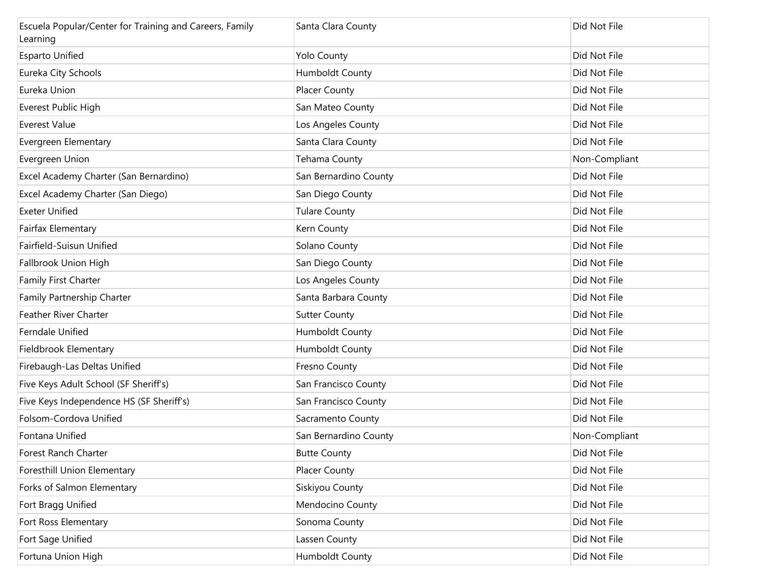| Escuela Popular/Center for Training and Careers, Family<br>Learning | Santa Clara County     | Did Not File  |
|---------------------------------------------------------------------|------------------------|---------------|
| <b>Esparto Unified</b>                                              | <b>Yolo County</b>     | Did Not File  |
| Eureka City Schools                                                 | <b>Humboldt County</b> | Did Not File  |
| Eureka Union                                                        | <b>Placer County</b>   | Did Not File  |
| Everest Public High                                                 | San Mateo County       | Did Not File  |
| Everest Value                                                       | Los Angeles County     | Did Not File  |
| Evergreen Elementary                                                | Santa Clara County     | Did Not File  |
| Evergreen Union                                                     | Tehama County          | Non-Compliant |
| Excel Academy Charter (San Bernardino)                              | San Bernardino County  | Did Not File  |
| Excel Academy Charter (San Diego)                                   | San Diego County       | Did Not File  |
| <b>Exeter Unified</b>                                               | <b>Tulare County</b>   | Did Not File  |
| Fairfax Elementary                                                  | Kern County            | Did Not File  |
| Fairfield-Suisun Unified                                            | Solano County          | Did Not File  |
| Fallbrook Union High                                                | San Diego County       | Did Not File  |
| Family First Charter                                                | Los Angeles County     | Did Not File  |
| Family Partnership Charter                                          | Santa Barbara County   | Did Not File  |
| Feather River Charter                                               | <b>Sutter County</b>   | Did Not File  |
| Ferndale Unified                                                    | <b>Humboldt County</b> | Did Not File  |
| Fieldbrook Elementary                                               | <b>Humboldt County</b> | Did Not File  |
| Firebaugh-Las Deltas Unified                                        | Fresno County          | Did Not File  |
| Five Keys Adult School (SF Sheriff's)                               | San Francisco County   | Did Not File  |
| Five Keys Independence HS (SF Sheriff's)                            | San Francisco County   | Did Not File  |
| Folsom-Cordova Unified                                              | Sacramento County      | Did Not File  |
| Fontana Unified                                                     | San Bernardino County  | Non-Compliant |
| Forest Ranch Charter                                                | <b>Butte County</b>    | Did Not File  |
| Foresthill Union Elementary                                         | <b>Placer County</b>   | Did Not File  |
| Forks of Salmon Elementary                                          | Siskiyou County        | Did Not File  |
| Fort Bragg Unified                                                  | Mendocino County       | Did Not File  |
| Fort Ross Elementary                                                | Sonoma County          | Did Not File  |
| Fort Sage Unified                                                   | Lassen County          | Did Not File  |
| Fortuna Union High                                                  | Humboldt County        | Did Not File  |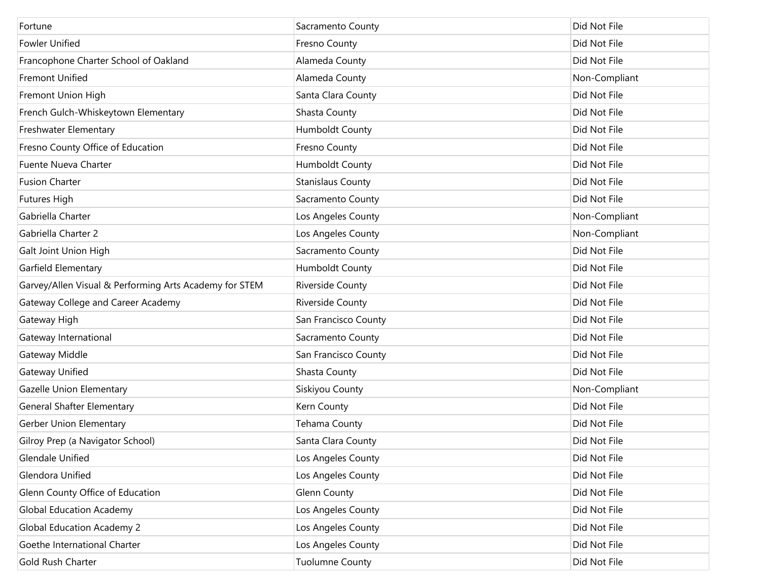| Fortune                                                | Sacramento County        | Did Not File  |
|--------------------------------------------------------|--------------------------|---------------|
| <b>Fowler Unified</b>                                  | Fresno County            | Did Not File  |
| Francophone Charter School of Oakland                  | Alameda County           | Did Not File  |
| <b>Fremont Unified</b>                                 | Alameda County           | Non-Compliant |
| Fremont Union High                                     | Santa Clara County       | Did Not File  |
| French Gulch-Whiskeytown Elementary                    | Shasta County            | Did Not File  |
| Freshwater Elementary                                  | <b>Humboldt County</b>   | Did Not File  |
| Fresno County Office of Education                      | Fresno County            | Did Not File  |
| <b>Fuente Nueva Charter</b>                            | <b>Humboldt County</b>   | Did Not File  |
| <b>Fusion Charter</b>                                  | <b>Stanislaus County</b> | Did Not File  |
| <b>Futures High</b>                                    | Sacramento County        | Did Not File  |
| Gabriella Charter                                      | Los Angeles County       | Non-Compliant |
| Gabriella Charter 2                                    | Los Angeles County       | Non-Compliant |
| Galt Joint Union High                                  | Sacramento County        | Did Not File  |
| Garfield Elementary                                    | <b>Humboldt County</b>   | Did Not File  |
| Garvey/Allen Visual & Performing Arts Academy for STEM | Riverside County         | Did Not File  |
| Gateway College and Career Academy                     | Riverside County         | Did Not File  |
| Gateway High                                           | San Francisco County     | Did Not File  |
| Gateway International                                  | Sacramento County        | Did Not File  |
| Gateway Middle                                         | San Francisco County     | Did Not File  |
| Gateway Unified                                        | Shasta County            | Did Not File  |
| Gazelle Union Elementary                               | Siskiyou County          | Non-Compliant |
| <b>General Shafter Elementary</b>                      | Kern County              | Did Not File  |
| Gerber Union Elementary                                | Tehama County            | Did Not File  |
| Gilroy Prep (a Navigator School)                       | Santa Clara County       | Did Not File  |
| Glendale Unified                                       | Los Angeles County       | Did Not File  |
| Glendora Unified                                       | Los Angeles County       | Did Not File  |
| Glenn County Office of Education                       | <b>Glenn County</b>      | Did Not File  |
| Global Education Academy                               | Los Angeles County       | Did Not File  |
| <b>Global Education Academy 2</b>                      | Los Angeles County       | Did Not File  |
| Goethe International Charter                           | Los Angeles County       | Did Not File  |
| Gold Rush Charter                                      | <b>Tuolumne County</b>   | Did Not File  |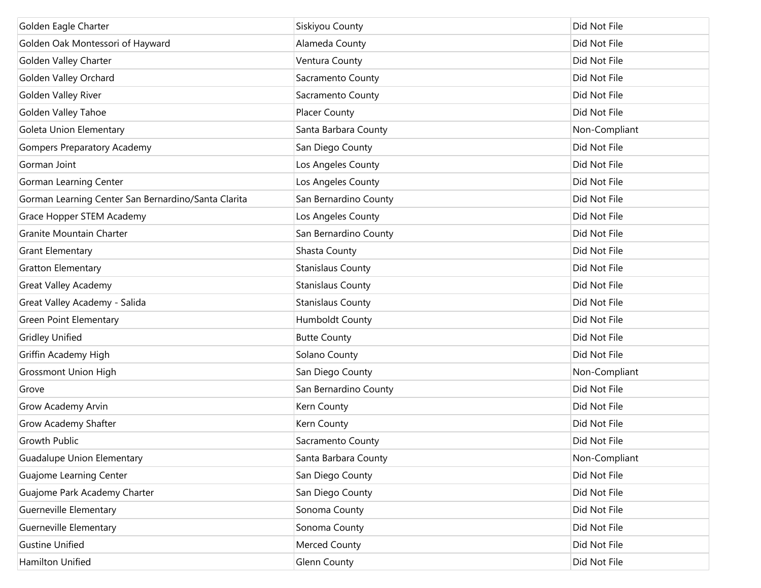| Golden Eagle Charter                                | Siskiyou County          | Did Not File  |
|-----------------------------------------------------|--------------------------|---------------|
| Golden Oak Montessori of Hayward                    | Alameda County           | Did Not File  |
| Golden Valley Charter                               | Ventura County           | Did Not File  |
| Golden Valley Orchard                               | Sacramento County        | Did Not File  |
| Golden Valley River                                 | Sacramento County        | Did Not File  |
| Golden Valley Tahoe                                 | <b>Placer County</b>     | Did Not File  |
| Goleta Union Elementary                             | Santa Barbara County     | Non-Compliant |
| <b>Gompers Preparatory Academy</b>                  | San Diego County         | Did Not File  |
| Gorman Joint                                        | Los Angeles County       | Did Not File  |
| <b>Gorman Learning Center</b>                       | Los Angeles County       | Did Not File  |
| Gorman Learning Center San Bernardino/Santa Clarita | San Bernardino County    | Did Not File  |
| <b>Grace Hopper STEM Academy</b>                    | Los Angeles County       | Did Not File  |
| Granite Mountain Charter                            | San Bernardino County    | Did Not File  |
| <b>Grant Elementary</b>                             | Shasta County            | Did Not File  |
| <b>Gratton Elementary</b>                           | <b>Stanislaus County</b> | Did Not File  |
| <b>Great Valley Academy</b>                         | <b>Stanislaus County</b> | Did Not File  |
| Great Valley Academy - Salida                       | <b>Stanislaus County</b> | Did Not File  |
| <b>Green Point Elementary</b>                       | <b>Humboldt County</b>   | Did Not File  |
| <b>Gridley Unified</b>                              | <b>Butte County</b>      | Did Not File  |
| Griffin Academy High                                | Solano County            | Did Not File  |
| <b>Grossmont Union High</b>                         | San Diego County         | Non-Compliant |
| Grove                                               | San Bernardino County    | Did Not File  |
| <b>Grow Academy Arvin</b>                           | Kern County              | Did Not File  |
| Grow Academy Shafter                                | Kern County              | Did Not File  |
| <b>Growth Public</b>                                | Sacramento County        | Did Not File  |
| <b>Guadalupe Union Elementary</b>                   | Santa Barbara County     | Non-Compliant |
| Guajome Learning Center                             | San Diego County         | Did Not File  |
| Guajome Park Academy Charter                        | San Diego County         | Did Not File  |
| Guerneville Elementary                              | Sonoma County            | Did Not File  |
| Guerneville Elementary                              | Sonoma County            | Did Not File  |
| <b>Gustine Unified</b>                              | Merced County            | Did Not File  |
| Hamilton Unified                                    | <b>Glenn County</b>      | Did Not File  |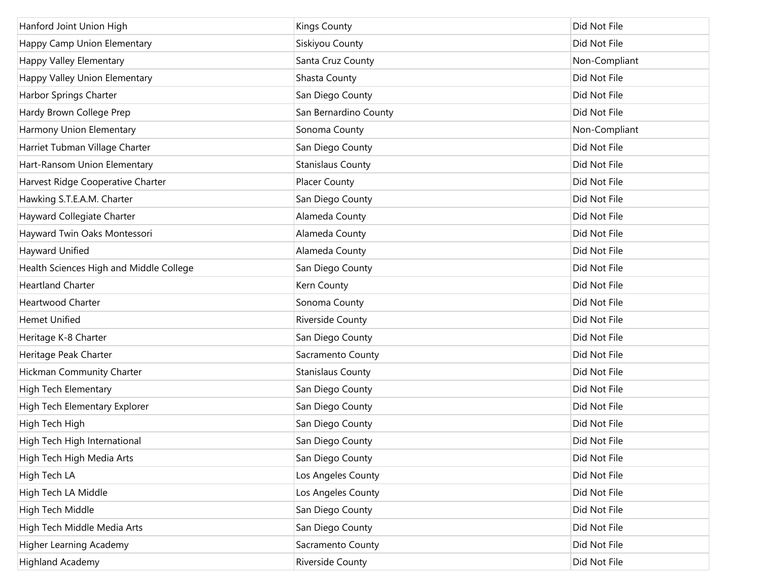| Hanford Joint Union High                | <b>Kings County</b>      | Did Not File  |
|-----------------------------------------|--------------------------|---------------|
| Happy Camp Union Elementary             | Siskiyou County          | Did Not File  |
| Happy Valley Elementary                 | Santa Cruz County        | Non-Compliant |
| Happy Valley Union Elementary           | Shasta County            | Did Not File  |
| Harbor Springs Charter                  | San Diego County         | Did Not File  |
| Hardy Brown College Prep                | San Bernardino County    | Did Not File  |
| Harmony Union Elementary                | Sonoma County            | Non-Compliant |
| Harriet Tubman Village Charter          | San Diego County         | Did Not File  |
| Hart-Ransom Union Elementary            | <b>Stanislaus County</b> | Did Not File  |
| Harvest Ridge Cooperative Charter       | <b>Placer County</b>     | Did Not File  |
| Hawking S.T.E.A.M. Charter              | San Diego County         | Did Not File  |
| Hayward Collegiate Charter              | Alameda County           | Did Not File  |
| Hayward Twin Oaks Montessori            | Alameda County           | Did Not File  |
| Hayward Unified                         | Alameda County           | Did Not File  |
| Health Sciences High and Middle College | San Diego County         | Did Not File  |
| <b>Heartland Charter</b>                | Kern County              | Did Not File  |
| <b>Heartwood Charter</b>                | Sonoma County            | Did Not File  |
| <b>Hemet Unified</b>                    | Riverside County         | Did Not File  |
| Heritage K-8 Charter                    | San Diego County         | Did Not File  |
| Heritage Peak Charter                   | Sacramento County        | Did Not File  |
| Hickman Community Charter               | <b>Stanislaus County</b> | Did Not File  |
| High Tech Elementary                    | San Diego County         | Did Not File  |
| High Tech Elementary Explorer           | San Diego County         | Did Not File  |
| High Tech High                          | San Diego County         | Did Not File  |
| High Tech High International            | San Diego County         | Did Not File  |
| High Tech High Media Arts               | San Diego County         | Did Not File  |
| High Tech LA                            | Los Angeles County       | Did Not File  |
| High Tech LA Middle                     | Los Angeles County       | Did Not File  |
| High Tech Middle                        | San Diego County         | Did Not File  |
| High Tech Middle Media Arts             | San Diego County         | Did Not File  |
| <b>Higher Learning Academy</b>          | Sacramento County        | Did Not File  |
| <b>Highland Academy</b>                 | Riverside County         | Did Not File  |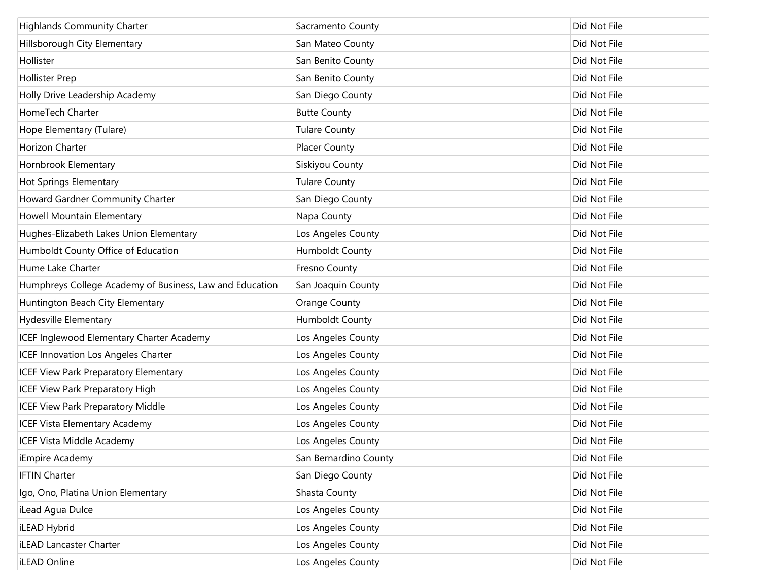| <b>Highlands Community Charter</b>                       | Sacramento County     | Did Not File |
|----------------------------------------------------------|-----------------------|--------------|
| Hillsborough City Elementary                             | San Mateo County      | Did Not File |
| Hollister                                                | San Benito County     | Did Not File |
| Hollister Prep                                           | San Benito County     | Did Not File |
| Holly Drive Leadership Academy                           | San Diego County      | Did Not File |
| HomeTech Charter                                         | <b>Butte County</b>   | Did Not File |
| Hope Elementary (Tulare)                                 | <b>Tulare County</b>  | Did Not File |
| Horizon Charter                                          | Placer County         | Did Not File |
| Hornbrook Elementary                                     | Siskiyou County       | Did Not File |
| Hot Springs Elementary                                   | <b>Tulare County</b>  | Did Not File |
| Howard Gardner Community Charter                         | San Diego County      | Did Not File |
| Howell Mountain Elementary                               | Napa County           | Did Not File |
| Hughes-Elizabeth Lakes Union Elementary                  | Los Angeles County    | Did Not File |
| Humboldt County Office of Education                      | Humboldt County       | Did Not File |
| Hume Lake Charter                                        | Fresno County         | Did Not File |
| Humphreys College Academy of Business, Law and Education | San Joaquin County    | Did Not File |
| Huntington Beach City Elementary                         | <b>Orange County</b>  | Did Not File |
| Hydesville Elementary                                    | Humboldt County       | Did Not File |
| ICEF Inglewood Elementary Charter Academy                | Los Angeles County    | Did Not File |
| ICEF Innovation Los Angeles Charter                      | Los Angeles County    | Did Not File |
| ICEF View Park Preparatory Elementary                    | Los Angeles County    | Did Not File |
| <b>ICEF View Park Preparatory High</b>                   | Los Angeles County    | Did Not File |
| <b>ICEF View Park Preparatory Middle</b>                 | Los Angeles County    | Did Not File |
| <b>ICEF Vista Elementary Academy</b>                     | Los Angeles County    | Did Not File |
| <b>ICEF Vista Middle Academy</b>                         | Los Angeles County    | Did Not File |
| iEmpire Academy                                          | San Bernardino County | Did Not File |
| <b>IFTIN Charter</b>                                     | San Diego County      | Did Not File |
| Igo, Ono, Platina Union Elementary                       | Shasta County         | Did Not File |
| iLead Agua Dulce                                         | Los Angeles County    | Did Not File |
| iLEAD Hybrid                                             | Los Angeles County    | Did Not File |
| iLEAD Lancaster Charter                                  | Los Angeles County    | Did Not File |
| iLEAD Online                                             | Los Angeles County    | Did Not File |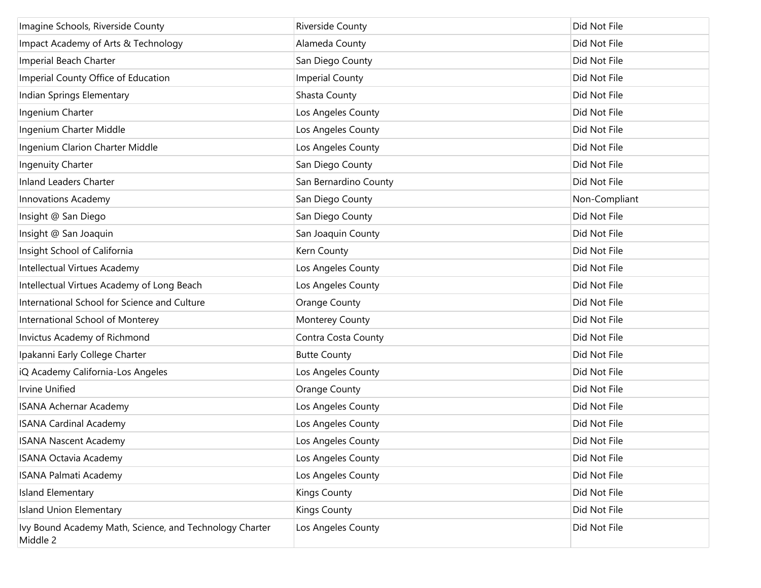| Imagine Schools, Riverside County                                   | <b>Riverside County</b> | Did Not File  |
|---------------------------------------------------------------------|-------------------------|---------------|
| Impact Academy of Arts & Technology                                 | Alameda County          | Did Not File  |
| Imperial Beach Charter                                              | San Diego County        | Did Not File  |
| Imperial County Office of Education                                 | <b>Imperial County</b>  | Did Not File  |
| Indian Springs Elementary                                           | Shasta County           | Did Not File  |
| Ingenium Charter                                                    | Los Angeles County      | Did Not File  |
| Ingenium Charter Middle                                             | Los Angeles County      | Did Not File  |
| Ingenium Clarion Charter Middle                                     | Los Angeles County      | Did Not File  |
| Ingenuity Charter                                                   | San Diego County        | Did Not File  |
| <b>Inland Leaders Charter</b>                                       | San Bernardino County   | Did Not File  |
| <b>Innovations Academy</b>                                          | San Diego County        | Non-Compliant |
| Insight @ San Diego                                                 | San Diego County        | Did Not File  |
| Insight @ San Joaquin                                               | San Joaquin County      | Did Not File  |
| Insight School of California                                        | Kern County             | Did Not File  |
| Intellectual Virtues Academy                                        | Los Angeles County      | Did Not File  |
| Intellectual Virtues Academy of Long Beach                          | Los Angeles County      | Did Not File  |
| International School for Science and Culture                        | <b>Orange County</b>    | Did Not File  |
| International School of Monterey                                    | Monterey County         | Did Not File  |
| Invictus Academy of Richmond                                        | Contra Costa County     | Did Not File  |
| Ipakanni Early College Charter                                      | <b>Butte County</b>     | Did Not File  |
| iQ Academy California-Los Angeles                                   | Los Angeles County      | Did Not File  |
| <b>Irvine Unified</b>                                               | <b>Orange County</b>    | Did Not File  |
| <b>ISANA Achernar Academy</b>                                       | Los Angeles County      | Did Not File  |
| <b>ISANA Cardinal Academy</b>                                       | Los Angeles County      | Did Not File  |
| <b>ISANA Nascent Academy</b>                                        | Los Angeles County      | Did Not File  |
| <b>ISANA Octavia Academy</b>                                        | Los Angeles County      | Did Not File  |
| <b>ISANA Palmati Academy</b>                                        | Los Angeles County      | Did Not File  |
| Island Elementary                                                   | <b>Kings County</b>     | Did Not File  |
| <b>Island Union Elementary</b>                                      | <b>Kings County</b>     | Did Not File  |
| Ivy Bound Academy Math, Science, and Technology Charter<br>Middle 2 | Los Angeles County      | Did Not File  |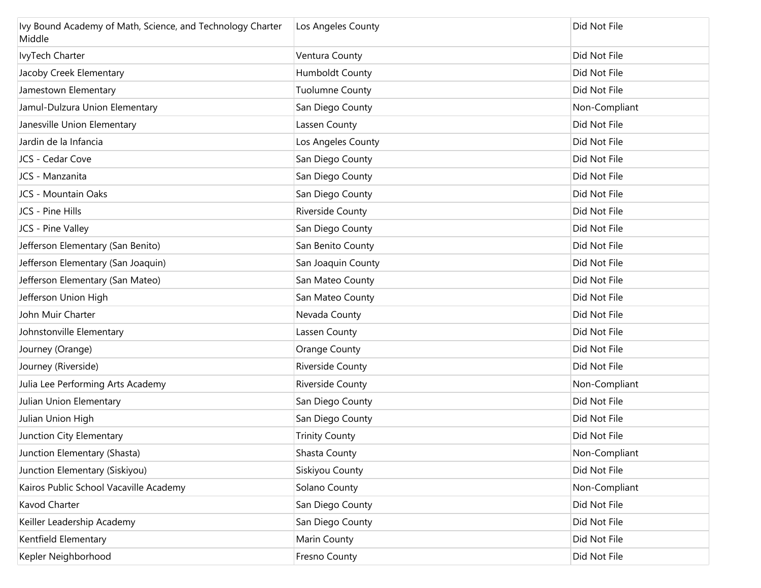| Ivy Bound Academy of Math, Science, and Technology Charter<br>Middle | Los Angeles County     | Did Not File  |
|----------------------------------------------------------------------|------------------------|---------------|
| IvyTech Charter                                                      | Ventura County         | Did Not File  |
| Jacoby Creek Elementary                                              | Humboldt County        | Did Not File  |
| Jamestown Elementary                                                 | <b>Tuolumne County</b> | Did Not File  |
| Jamul-Dulzura Union Elementary                                       | San Diego County       | Non-Compliant |
| Janesville Union Elementary                                          | Lassen County          | Did Not File  |
| Jardin de la Infancia                                                | Los Angeles County     | Did Not File  |
| JCS - Cedar Cove                                                     | San Diego County       | Did Not File  |
| JCS - Manzanita                                                      | San Diego County       | Did Not File  |
| JCS - Mountain Oaks                                                  | San Diego County       | Did Not File  |
| JCS - Pine Hills                                                     | Riverside County       | Did Not File  |
| JCS - Pine Valley                                                    | San Diego County       | Did Not File  |
| Jefferson Elementary (San Benito)                                    | San Benito County      | Did Not File  |
| Jefferson Elementary (San Joaquin)                                   | San Joaquin County     | Did Not File  |
| Jefferson Elementary (San Mateo)                                     | San Mateo County       | Did Not File  |
| Jefferson Union High                                                 | San Mateo County       | Did Not File  |
| John Muir Charter                                                    | Nevada County          | Did Not File  |
| Johnstonville Elementary                                             | Lassen County          | Did Not File  |
| Journey (Orange)                                                     | Orange County          | Did Not File  |
| Journey (Riverside)                                                  | Riverside County       | Did Not File  |
| Julia Lee Performing Arts Academy                                    | Riverside County       | Non-Compliant |
| Julian Union Elementary                                              | San Diego County       | Did Not File  |
| Julian Union High                                                    | San Diego County       | Did Not File  |
| Junction City Elementary                                             | <b>Trinity County</b>  | Did Not File  |
| Junction Elementary (Shasta)                                         | Shasta County          | Non-Compliant |
| Junction Elementary (Siskiyou)                                       | Siskiyou County        | Did Not File  |
| Kairos Public School Vacaville Academy                               | Solano County          | Non-Compliant |
| Kavod Charter                                                        | San Diego County       | Did Not File  |
| Keiller Leadership Academy                                           | San Diego County       | Did Not File  |
| Kentfield Elementary                                                 | Marin County           | Did Not File  |
| Kepler Neighborhood                                                  | Fresno County          | Did Not File  |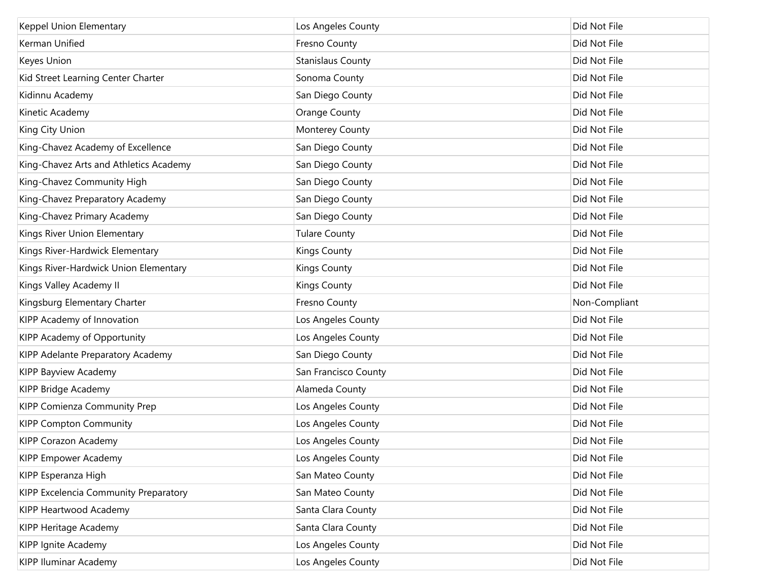| Keppel Union Elementary                | Los Angeles County       | Did Not File  |
|----------------------------------------|--------------------------|---------------|
| Kerman Unified                         | Fresno County            | Did Not File  |
| Keyes Union                            | <b>Stanislaus County</b> | Did Not File  |
| Kid Street Learning Center Charter     | Sonoma County            | Did Not File  |
| Kidinnu Academy                        | San Diego County         | Did Not File  |
| Kinetic Academy                        | <b>Orange County</b>     | Did Not File  |
| King City Union                        | Monterey County          | Did Not File  |
| King-Chavez Academy of Excellence      | San Diego County         | Did Not File  |
| King-Chavez Arts and Athletics Academy | San Diego County         | Did Not File  |
| King-Chavez Community High             | San Diego County         | Did Not File  |
| King-Chavez Preparatory Academy        | San Diego County         | Did Not File  |
| King-Chavez Primary Academy            | San Diego County         | Did Not File  |
| Kings River Union Elementary           | <b>Tulare County</b>     | Did Not File  |
| Kings River-Hardwick Elementary        | <b>Kings County</b>      | Did Not File  |
| Kings River-Hardwick Union Elementary  | <b>Kings County</b>      | Did Not File  |
| Kings Valley Academy II                | <b>Kings County</b>      | Did Not File  |
| Kingsburg Elementary Charter           | Fresno County            | Non-Compliant |
| KIPP Academy of Innovation             | Los Angeles County       | Did Not File  |
| KIPP Academy of Opportunity            | Los Angeles County       | Did Not File  |
| KIPP Adelante Preparatory Academy      | San Diego County         | Did Not File  |
| KIPP Bayview Academy                   | San Francisco County     | Did Not File  |
| KIPP Bridge Academy                    | Alameda County           | Did Not File  |
| KIPP Comienza Community Prep           | Los Angeles County       | Did Not File  |
| <b>KIPP Compton Community</b>          | Los Angeles County       | Did Not File  |
| KIPP Corazon Academy                   | Los Angeles County       | Did Not File  |
| KIPP Empower Academy                   | Los Angeles County       | Did Not File  |
| KIPP Esperanza High                    | San Mateo County         | Did Not File  |
| KIPP Excelencia Community Preparatory  | San Mateo County         | Did Not File  |
| KIPP Heartwood Academy                 | Santa Clara County       | Did Not File  |
| KIPP Heritage Academy                  | Santa Clara County       | Did Not File  |
| KIPP Ignite Academy                    | Los Angeles County       | Did Not File  |
| <b>KIPP Iluminar Academy</b>           | Los Angeles County       | Did Not File  |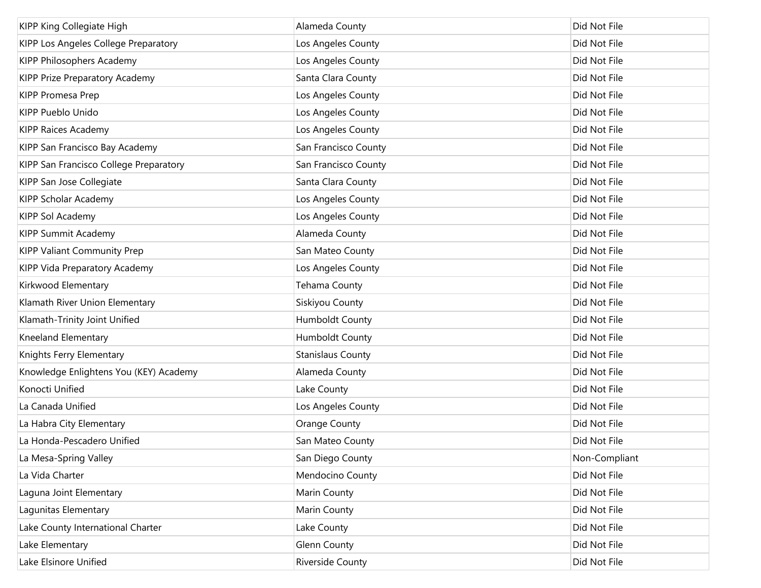| KIPP King Collegiate High              | Alameda County           | Did Not File  |
|----------------------------------------|--------------------------|---------------|
| KIPP Los Angeles College Preparatory   | Los Angeles County       | Did Not File  |
| KIPP Philosophers Academy              | Los Angeles County       | Did Not File  |
| KIPP Prize Preparatory Academy         | Santa Clara County       | Did Not File  |
| <b>KIPP Promesa Prep</b>               | Los Angeles County       | Did Not File  |
| KIPP Pueblo Unido                      | Los Angeles County       | Did Not File  |
| <b>KIPP Raices Academy</b>             | Los Angeles County       | Did Not File  |
| KIPP San Francisco Bay Academy         | San Francisco County     | Did Not File  |
| KIPP San Francisco College Preparatory | San Francisco County     | Did Not File  |
| KIPP San Jose Collegiate               | Santa Clara County       | Did Not File  |
| KIPP Scholar Academy                   | Los Angeles County       | Did Not File  |
| KIPP Sol Academy                       | Los Angeles County       | Did Not File  |
| <b>KIPP Summit Academy</b>             | Alameda County           | Did Not File  |
| <b>KIPP Valiant Community Prep</b>     | San Mateo County         | Did Not File  |
| KIPP Vida Preparatory Academy          | Los Angeles County       | Did Not File  |
| Kirkwood Elementary                    | Tehama County            | Did Not File  |
| Klamath River Union Elementary         | Siskiyou County          | Did Not File  |
| Klamath-Trinity Joint Unified          | Humboldt County          | Did Not File  |
| Kneeland Elementary                    | Humboldt County          | Did Not File  |
| Knights Ferry Elementary               | <b>Stanislaus County</b> | Did Not File  |
| Knowledge Enlightens You (KEY) Academy | Alameda County           | Did Not File  |
| Konocti Unified                        | Lake County              | Did Not File  |
| La Canada Unified                      | Los Angeles County       | Did Not File  |
| La Habra City Elementary               | Orange County            | Did Not File  |
| La Honda-Pescadero Unified             | San Mateo County         | Did Not File  |
| La Mesa-Spring Valley                  | San Diego County         | Non-Compliant |
| La Vida Charter                        | Mendocino County         | Did Not File  |
| Laguna Joint Elementary                | Marin County             | Did Not File  |
| Lagunitas Elementary                   | Marin County             | Did Not File  |
| Lake County International Charter      | Lake County              | Did Not File  |
| Lake Elementary                        | <b>Glenn County</b>      | Did Not File  |
| Lake Elsinore Unified                  | Riverside County         | Did Not File  |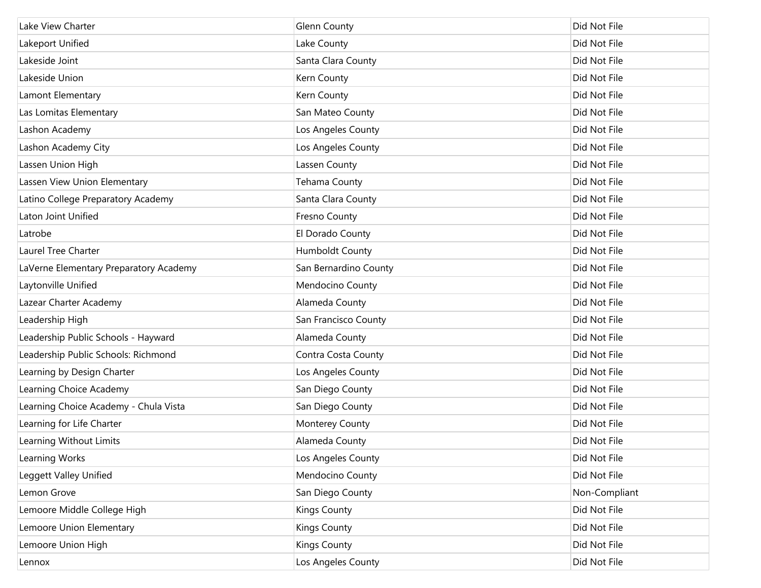| Lake View Charter                      | <b>Glenn County</b>    | Did Not File  |
|----------------------------------------|------------------------|---------------|
| Lakeport Unified                       | Lake County            | Did Not File  |
| Lakeside Joint                         | Santa Clara County     | Did Not File  |
| Lakeside Union                         | Kern County            | Did Not File  |
| Lamont Elementary                      | Kern County            | Did Not File  |
| Las Lomitas Elementary                 | San Mateo County       | Did Not File  |
| Lashon Academy                         | Los Angeles County     | Did Not File  |
| Lashon Academy City                    | Los Angeles County     | Did Not File  |
| Lassen Union High                      | Lassen County          | Did Not File  |
| Lassen View Union Elementary           | Tehama County          | Did Not File  |
| Latino College Preparatory Academy     | Santa Clara County     | Did Not File  |
| Laton Joint Unified                    | Fresno County          | Did Not File  |
| Latrobe                                | El Dorado County       | Did Not File  |
| Laurel Tree Charter                    | <b>Humboldt County</b> | Did Not File  |
| LaVerne Elementary Preparatory Academy | San Bernardino County  | Did Not File  |
| Laytonville Unified                    | Mendocino County       | Did Not File  |
| Lazear Charter Academy                 | Alameda County         | Did Not File  |
| Leadership High                        | San Francisco County   | Did Not File  |
| Leadership Public Schools - Hayward    | Alameda County         | Did Not File  |
| Leadership Public Schools: Richmond    | Contra Costa County    | Did Not File  |
| Learning by Design Charter             | Los Angeles County     | Did Not File  |
| Learning Choice Academy                | San Diego County       | Did Not File  |
| Learning Choice Academy - Chula Vista  | San Diego County       | Did Not File  |
| Learning for Life Charter              | Monterey County        | Did Not File  |
| Learning Without Limits                | Alameda County         | Did Not File  |
| Learning Works                         | Los Angeles County     | Did Not File  |
| Leggett Valley Unified                 | Mendocino County       | Did Not File  |
| Lemon Grove                            | San Diego County       | Non-Compliant |
| Lemoore Middle College High            | <b>Kings County</b>    | Did Not File  |
| Lemoore Union Elementary               | <b>Kings County</b>    | Did Not File  |
| Lemoore Union High                     | <b>Kings County</b>    | Did Not File  |
| Lennox                                 | Los Angeles County     | Did Not File  |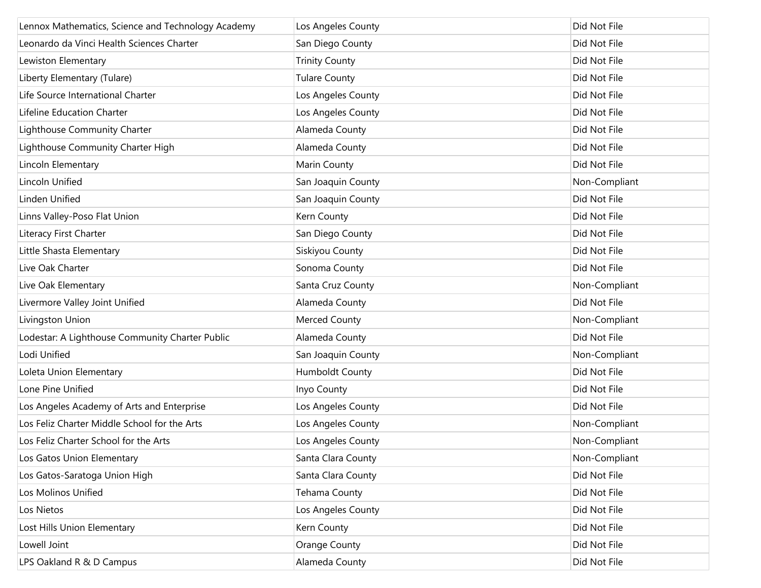| Lennox Mathematics, Science and Technology Academy | Los Angeles County     | Did Not File  |
|----------------------------------------------------|------------------------|---------------|
| Leonardo da Vinci Health Sciences Charter          | San Diego County       | Did Not File  |
| Lewiston Elementary                                | <b>Trinity County</b>  | Did Not File  |
| Liberty Elementary (Tulare)                        | <b>Tulare County</b>   | Did Not File  |
| Life Source International Charter                  | Los Angeles County     | Did Not File  |
| Lifeline Education Charter                         | Los Angeles County     | Did Not File  |
| Lighthouse Community Charter                       | Alameda County         | Did Not File  |
| Lighthouse Community Charter High                  | Alameda County         | Did Not File  |
| Lincoln Elementary                                 | Marin County           | Did Not File  |
| Lincoln Unified                                    | San Joaquin County     | Non-Compliant |
| Linden Unified                                     | San Joaquin County     | Did Not File  |
| Linns Valley-Poso Flat Union                       | Kern County            | Did Not File  |
| Literacy First Charter                             | San Diego County       | Did Not File  |
| Little Shasta Elementary                           | Siskiyou County        | Did Not File  |
| Live Oak Charter                                   | Sonoma County          | Did Not File  |
| Live Oak Elementary                                | Santa Cruz County      | Non-Compliant |
| Livermore Valley Joint Unified                     | Alameda County         | Did Not File  |
| Livingston Union                                   | Merced County          | Non-Compliant |
| Lodestar: A Lighthouse Community Charter Public    | Alameda County         | Did Not File  |
| Lodi Unified                                       | San Joaquin County     | Non-Compliant |
| Loleta Union Elementary                            | <b>Humboldt County</b> | Did Not File  |
| Lone Pine Unified                                  | Inyo County            | Did Not File  |
| Los Angeles Academy of Arts and Enterprise         | Los Angeles County     | Did Not File  |
| Los Feliz Charter Middle School for the Arts       | Los Angeles County     | Non-Compliant |
| Los Feliz Charter School for the Arts              | Los Angeles County     | Non-Compliant |
| Los Gatos Union Elementary                         | Santa Clara County     | Non-Compliant |
| Los Gatos-Saratoga Union High                      | Santa Clara County     | Did Not File  |
| Los Molinos Unified                                | Tehama County          | Did Not File  |
| Los Nietos                                         | Los Angeles County     | Did Not File  |
| Lost Hills Union Elementary                        | Kern County            | Did Not File  |
| Lowell Joint                                       | Orange County          | Did Not File  |
| LPS Oakland R & D Campus                           | Alameda County         | Did Not File  |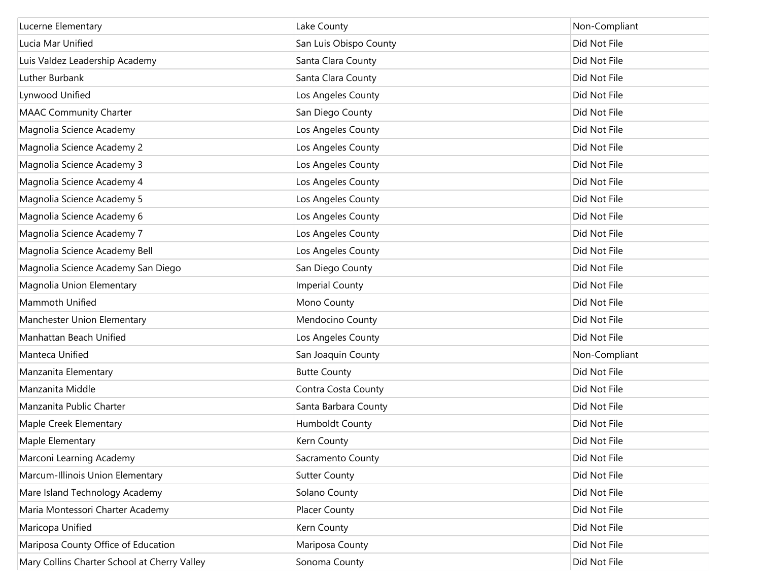| Lucerne Elementary                           | Lake County            | Non-Compliant |
|----------------------------------------------|------------------------|---------------|
| Lucia Mar Unified                            | San Luis Obispo County | Did Not File  |
| Luis Valdez Leadership Academy               | Santa Clara County     | Did Not File  |
| Luther Burbank                               | Santa Clara County     | Did Not File  |
| Lynwood Unified                              | Los Angeles County     | Did Not File  |
| <b>MAAC Community Charter</b>                | San Diego County       | Did Not File  |
| Magnolia Science Academy                     | Los Angeles County     | Did Not File  |
| Magnolia Science Academy 2                   | Los Angeles County     | Did Not File  |
| Magnolia Science Academy 3                   | Los Angeles County     | Did Not File  |
| Magnolia Science Academy 4                   | Los Angeles County     | Did Not File  |
| Magnolia Science Academy 5                   | Los Angeles County     | Did Not File  |
| Magnolia Science Academy 6                   | Los Angeles County     | Did Not File  |
| Magnolia Science Academy 7                   | Los Angeles County     | Did Not File  |
| Magnolia Science Academy Bell                | Los Angeles County     | Did Not File  |
| Magnolia Science Academy San Diego           | San Diego County       | Did Not File  |
| Magnolia Union Elementary                    | <b>Imperial County</b> | Did Not File  |
| Mammoth Unified                              | Mono County            | Did Not File  |
| Manchester Union Elementary                  | Mendocino County       | Did Not File  |
| Manhattan Beach Unified                      | Los Angeles County     | Did Not File  |
| Manteca Unified                              | San Joaquin County     | Non-Compliant |
| Manzanita Elementary                         | <b>Butte County</b>    | Did Not File  |
| Manzanita Middle                             | Contra Costa County    | Did Not File  |
| Manzanita Public Charter                     | Santa Barbara County   | Did Not File  |
| Maple Creek Elementary                       | Humboldt County        | Did Not File  |
| Maple Elementary                             | Kern County            | Did Not File  |
| Marconi Learning Academy                     | Sacramento County      | Did Not File  |
| Marcum-Illinois Union Elementary             | <b>Sutter County</b>   | Did Not File  |
| Mare Island Technology Academy               | Solano County          | Did Not File  |
| Maria Montessori Charter Academy             | Placer County          | Did Not File  |
| Maricopa Unified                             | Kern County            | Did Not File  |
| Mariposa County Office of Education          | Mariposa County        | Did Not File  |
| Mary Collins Charter School at Cherry Valley | Sonoma County          | Did Not File  |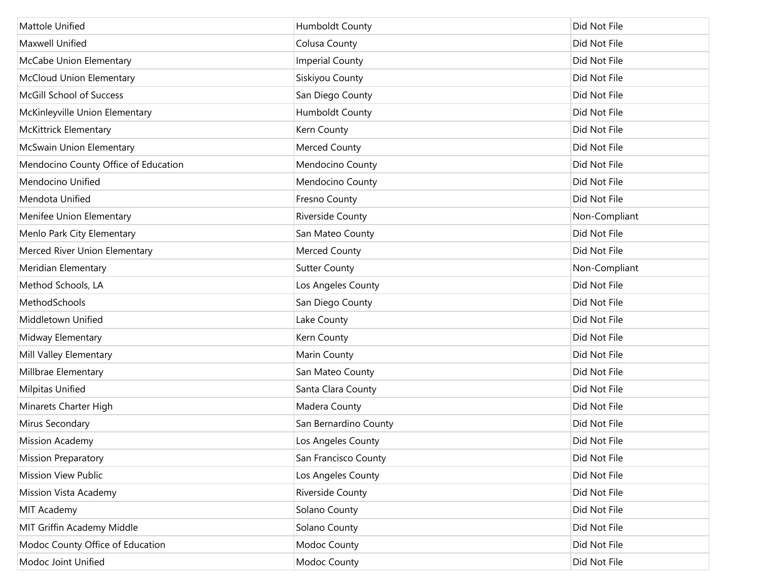| Mattole Unified                      | Humboldt County        | Did Not File  |
|--------------------------------------|------------------------|---------------|
| Maxwell Unified                      | Colusa County          | Did Not File  |
| McCabe Union Elementary              | <b>Imperial County</b> | Did Not File  |
| <b>McCloud Union Elementary</b>      | Siskiyou County        | Did Not File  |
| McGill School of Success             | San Diego County       | Did Not File  |
| McKinleyville Union Elementary       | Humboldt County        | Did Not File  |
| <b>McKittrick Elementary</b>         | Kern County            | Did Not File  |
| McSwain Union Elementary             | Merced County          | Did Not File  |
| Mendocino County Office of Education | Mendocino County       | Did Not File  |
| Mendocino Unified                    | Mendocino County       | Did Not File  |
| Mendota Unified                      | Fresno County          | Did Not File  |
| Menifee Union Elementary             | Riverside County       | Non-Compliant |
| Menlo Park City Elementary           | San Mateo County       | Did Not File  |
| Merced River Union Elementary        | Merced County          | Did Not File  |
| Meridian Elementary                  | <b>Sutter County</b>   | Non-Compliant |
| Method Schools, LA                   | Los Angeles County     | Did Not File  |
| MethodSchools                        | San Diego County       | Did Not File  |
| Middletown Unified                   | Lake County            | Did Not File  |
| Midway Elementary                    | Kern County            | Did Not File  |
| Mill Valley Elementary               | Marin County           | Did Not File  |
| Millbrae Elementary                  | San Mateo County       | Did Not File  |
| Milpitas Unified                     | Santa Clara County     | Did Not File  |
| Minarets Charter High                | Madera County          | Did Not File  |
| Mirus Secondary                      | San Bernardino County  | Did Not File  |
| <b>Mission Academy</b>               | Los Angeles County     | Did Not File  |
| <b>Mission Preparatory</b>           | San Francisco County   | Did Not File  |
| <b>Mission View Public</b>           | Los Angeles County     | Did Not File  |
| <b>Mission Vista Academy</b>         | Riverside County       | Did Not File  |
| MIT Academy                          | Solano County          | Did Not File  |
| MIT Griffin Academy Middle           | Solano County          | Did Not File  |
| Modoc County Office of Education     | Modoc County           | Did Not File  |
| Modoc Joint Unified                  | Modoc County           | Did Not File  |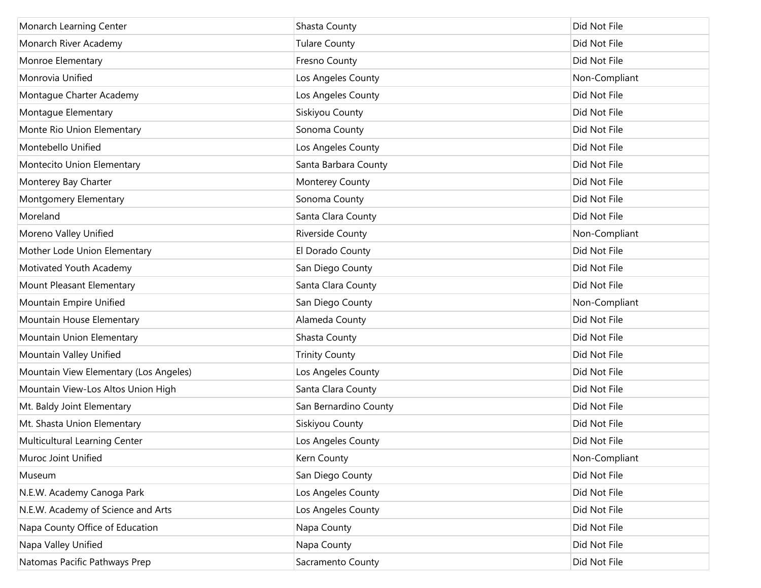| Monarch Learning Center                | Shasta County         | Did Not File  |
|----------------------------------------|-----------------------|---------------|
| Monarch River Academy                  | <b>Tulare County</b>  | Did Not File  |
| Monroe Elementary                      | Fresno County         | Did Not File  |
| Monrovia Unified                       | Los Angeles County    | Non-Compliant |
| Montague Charter Academy               | Los Angeles County    | Did Not File  |
| Montague Elementary                    | Siskiyou County       | Did Not File  |
| Monte Rio Union Elementary             | Sonoma County         | Did Not File  |
| Montebello Unified                     | Los Angeles County    | Did Not File  |
| Montecito Union Elementary             | Santa Barbara County  | Did Not File  |
| Monterey Bay Charter                   | Monterey County       | Did Not File  |
| Montgomery Elementary                  | Sonoma County         | Did Not File  |
| Moreland                               | Santa Clara County    | Did Not File  |
| Moreno Valley Unified                  | Riverside County      | Non-Compliant |
| Mother Lode Union Elementary           | El Dorado County      | Did Not File  |
| Motivated Youth Academy                | San Diego County      | Did Not File  |
| Mount Pleasant Elementary              | Santa Clara County    | Did Not File  |
| Mountain Empire Unified                | San Diego County      | Non-Compliant |
| Mountain House Elementary              | Alameda County        | Did Not File  |
| Mountain Union Elementary              | Shasta County         | Did Not File  |
| Mountain Valley Unified                | <b>Trinity County</b> | Did Not File  |
| Mountain View Elementary (Los Angeles) | Los Angeles County    | Did Not File  |
| Mountain View-Los Altos Union High     | Santa Clara County    | Did Not File  |
| Mt. Baldy Joint Elementary             | San Bernardino County | Did Not File  |
| Mt. Shasta Union Elementary            | Siskiyou County       | Did Not File  |
| Multicultural Learning Center          | Los Angeles County    | Did Not File  |
| Muroc Joint Unified                    | Kern County           | Non-Compliant |
| Museum                                 | San Diego County      | Did Not File  |
| N.E.W. Academy Canoga Park             | Los Angeles County    | Did Not File  |
| N.E.W. Academy of Science and Arts     | Los Angeles County    | Did Not File  |
| Napa County Office of Education        | Napa County           | Did Not File  |
| Napa Valley Unified                    | Napa County           | Did Not File  |
| Natomas Pacific Pathways Prep          | Sacramento County     | Did Not File  |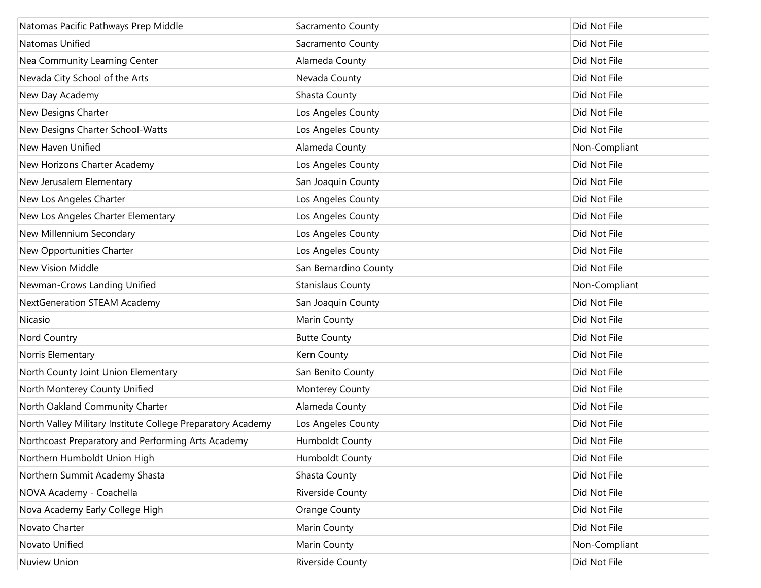| Natomas Pacific Pathways Prep Middle                        | Sacramento County        | Did Not File  |
|-------------------------------------------------------------|--------------------------|---------------|
| Natomas Unified                                             | Sacramento County        | Did Not File  |
| Nea Community Learning Center                               | Alameda County           | Did Not File  |
| Nevada City School of the Arts                              | Nevada County            | Did Not File  |
| New Day Academy                                             | Shasta County            | Did Not File  |
| New Designs Charter                                         | Los Angeles County       | Did Not File  |
| New Designs Charter School-Watts                            | Los Angeles County       | Did Not File  |
| New Haven Unified                                           | Alameda County           | Non-Compliant |
| New Horizons Charter Academy                                | Los Angeles County       | Did Not File  |
| New Jerusalem Elementary                                    | San Joaquin County       | Did Not File  |
| New Los Angeles Charter                                     | Los Angeles County       | Did Not File  |
| New Los Angeles Charter Elementary                          | Los Angeles County       | Did Not File  |
| New Millennium Secondary                                    | Los Angeles County       | Did Not File  |
| New Opportunities Charter                                   | Los Angeles County       | Did Not File  |
| <b>New Vision Middle</b>                                    | San Bernardino County    | Did Not File  |
| Newman-Crows Landing Unified                                | <b>Stanislaus County</b> | Non-Compliant |
| NextGeneration STEAM Academy                                | San Joaquin County       | Did Not File  |
| Nicasio                                                     | Marin County             | Did Not File  |
| Nord Country                                                | <b>Butte County</b>      | Did Not File  |
| Norris Elementary                                           | Kern County              | Did Not File  |
| North County Joint Union Elementary                         | San Benito County        | Did Not File  |
| North Monterey County Unified                               | Monterey County          | Did Not File  |
| North Oakland Community Charter                             | Alameda County           | Did Not File  |
| North Valley Military Institute College Preparatory Academy | Los Angeles County       | Did Not File  |
| Northcoast Preparatory and Performing Arts Academy          | <b>Humboldt County</b>   | Did Not File  |
| Northern Humboldt Union High                                | Humboldt County          | Did Not File  |
| Northern Summit Academy Shasta                              | Shasta County            | Did Not File  |
| NOVA Academy - Coachella                                    | <b>Riverside County</b>  | Did Not File  |
| Nova Academy Early College High                             | Orange County            | Did Not File  |
| Novato Charter                                              | Marin County             | Did Not File  |
| Novato Unified                                              | Marin County             | Non-Compliant |
| Nuview Union                                                | Riverside County         | Did Not File  |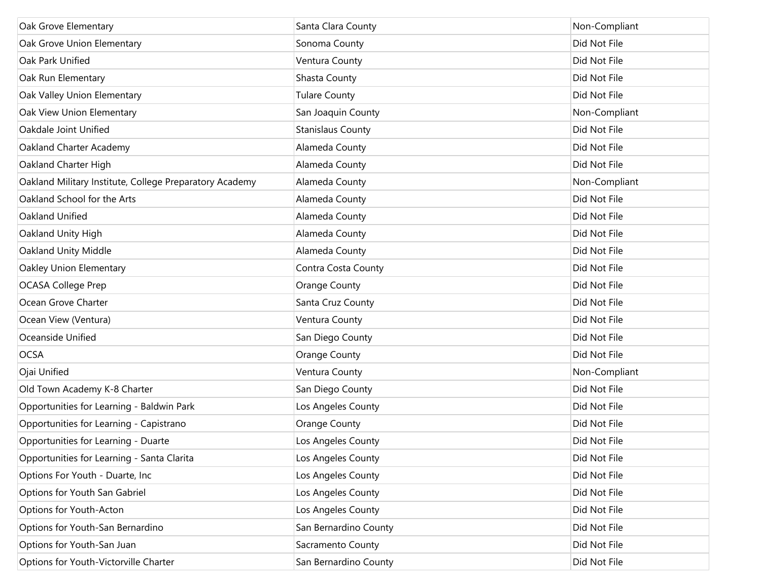| Oak Grove Elementary                                    | Santa Clara County       | Non-Compliant |
|---------------------------------------------------------|--------------------------|---------------|
| Oak Grove Union Elementary                              | Sonoma County            | Did Not File  |
| Oak Park Unified                                        | Ventura County           | Did Not File  |
| Oak Run Elementary                                      | Shasta County            | Did Not File  |
| Oak Valley Union Elementary                             | <b>Tulare County</b>     | Did Not File  |
| Oak View Union Elementary                               | San Joaquin County       | Non-Compliant |
| Oakdale Joint Unified                                   | <b>Stanislaus County</b> | Did Not File  |
| Oakland Charter Academy                                 | Alameda County           | Did Not File  |
| Oakland Charter High                                    | Alameda County           | Did Not File  |
| Oakland Military Institute, College Preparatory Academy | Alameda County           | Non-Compliant |
| Oakland School for the Arts                             | Alameda County           | Did Not File  |
| Oakland Unified                                         | Alameda County           | Did Not File  |
| Oakland Unity High                                      | Alameda County           | Did Not File  |
| Oakland Unity Middle                                    | Alameda County           | Did Not File  |
| Oakley Union Elementary                                 | Contra Costa County      | Did Not File  |
| <b>OCASA College Prep</b>                               | Orange County            | Did Not File  |
| Ocean Grove Charter                                     | Santa Cruz County        | Did Not File  |
| Ocean View (Ventura)                                    | Ventura County           | Did Not File  |
| Oceanside Unified                                       | San Diego County         | Did Not File  |
| <b>OCSA</b>                                             | Orange County            | Did Not File  |
| Ojai Unified                                            | Ventura County           | Non-Compliant |
| Old Town Academy K-8 Charter                            | San Diego County         | Did Not File  |
| Opportunities for Learning - Baldwin Park               | Los Angeles County       | Did Not File  |
| Opportunities for Learning - Capistrano                 | Orange County            | Did Not File  |
| Opportunities for Learning - Duarte                     | Los Angeles County       | Did Not File  |
| Opportunities for Learning - Santa Clarita              | Los Angeles County       | Did Not File  |
| Options For Youth - Duarte, Inc                         | Los Angeles County       | Did Not File  |
| Options for Youth San Gabriel                           | Los Angeles County       | Did Not File  |
| Options for Youth-Acton                                 | Los Angeles County       | Did Not File  |
| Options for Youth-San Bernardino                        | San Bernardino County    | Did Not File  |
| Options for Youth-San Juan                              | Sacramento County        | Did Not File  |
| Options for Youth-Victorville Charter                   | San Bernardino County    | Did Not File  |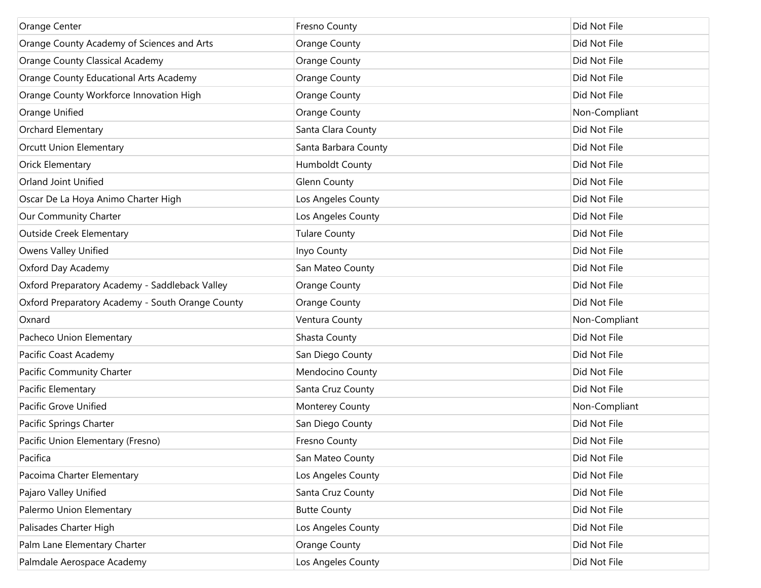| Orange Center                                    | <b>Fresno County</b>   | Did Not File  |
|--------------------------------------------------|------------------------|---------------|
| Orange County Academy of Sciences and Arts       | <b>Orange County</b>   | Did Not File  |
| Orange County Classical Academy                  | <b>Orange County</b>   | Did Not File  |
| Orange County Educational Arts Academy           | <b>Orange County</b>   | Did Not File  |
| Orange County Workforce Innovation High          | <b>Orange County</b>   | Did Not File  |
| Orange Unified                                   | <b>Orange County</b>   | Non-Compliant |
| Orchard Elementary                               | Santa Clara County     | Did Not File  |
| <b>Orcutt Union Elementary</b>                   | Santa Barbara County   | Did Not File  |
| <b>Orick Elementary</b>                          | <b>Humboldt County</b> | Did Not File  |
| Orland Joint Unified                             | <b>Glenn County</b>    | Did Not File  |
| Oscar De La Hoya Animo Charter High              | Los Angeles County     | Did Not File  |
| Our Community Charter                            | Los Angeles County     | Did Not File  |
| <b>Outside Creek Elementary</b>                  | <b>Tulare County</b>   | Did Not File  |
| Owens Valley Unified                             | Inyo County            | Did Not File  |
| Oxford Day Academy                               | San Mateo County       | Did Not File  |
| Oxford Preparatory Academy - Saddleback Valley   | <b>Orange County</b>   | Did Not File  |
| Oxford Preparatory Academy - South Orange County | <b>Orange County</b>   | Did Not File  |
| Oxnard                                           | Ventura County         | Non-Compliant |
| Pacheco Union Elementary                         | Shasta County          | Did Not File  |
| Pacific Coast Academy                            | San Diego County       | Did Not File  |
| Pacific Community Charter                        | Mendocino County       | Did Not File  |
| Pacific Elementary                               | Santa Cruz County      | Did Not File  |
| Pacific Grove Unified                            | Monterey County        | Non-Compliant |
| Pacific Springs Charter                          | San Diego County       | Did Not File  |
| Pacific Union Elementary (Fresno)                | <b>Fresno County</b>   | Did Not File  |
| Pacifica                                         | San Mateo County       | Did Not File  |
| Pacoima Charter Elementary                       | Los Angeles County     | Did Not File  |
| Pajaro Valley Unified                            | Santa Cruz County      | Did Not File  |
| Palermo Union Elementary                         | <b>Butte County</b>    | Did Not File  |
| Palisades Charter High                           | Los Angeles County     | Did Not File  |
| Palm Lane Elementary Charter                     | <b>Orange County</b>   | Did Not File  |
| Palmdale Aerospace Academy                       | Los Angeles County     | Did Not File  |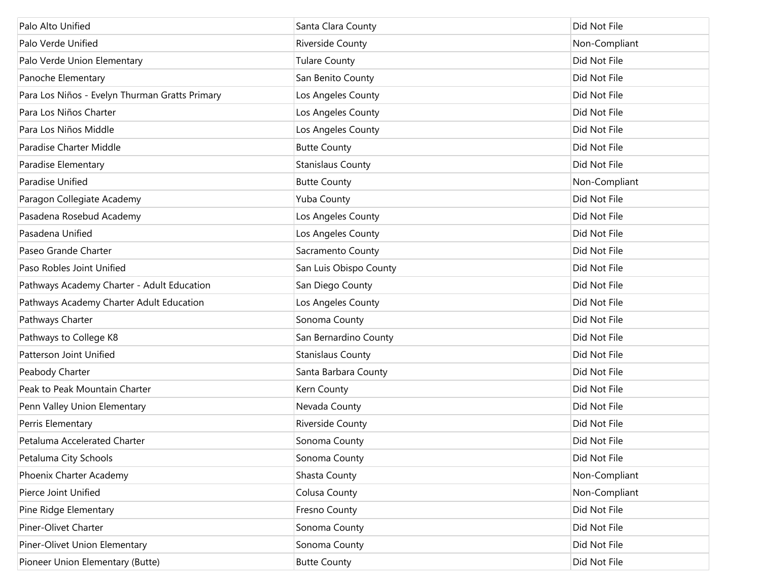| Palo Alto Unified                              | Santa Clara County       | Did Not File  |
|------------------------------------------------|--------------------------|---------------|
| Palo Verde Unified                             | Riverside County         | Non-Compliant |
| Palo Verde Union Elementary                    | <b>Tulare County</b>     | Did Not File  |
| Panoche Elementary                             | San Benito County        | Did Not File  |
| Para Los Niños - Evelyn Thurman Gratts Primary | Los Angeles County       | Did Not File  |
| Para Los Niños Charter                         | Los Angeles County       | Did Not File  |
| Para Los Niños Middle                          | Los Angeles County       | Did Not File  |
| Paradise Charter Middle                        | <b>Butte County</b>      | Did Not File  |
| Paradise Elementary                            | <b>Stanislaus County</b> | Did Not File  |
| Paradise Unified                               | <b>Butte County</b>      | Non-Compliant |
| Paragon Collegiate Academy                     | <b>Yuba County</b>       | Did Not File  |
| Pasadena Rosebud Academy                       | Los Angeles County       | Did Not File  |
| Pasadena Unified                               | Los Angeles County       | Did Not File  |
| Paseo Grande Charter                           | Sacramento County        | Did Not File  |
| Paso Robles Joint Unified                      | San Luis Obispo County   | Did Not File  |
| Pathways Academy Charter - Adult Education     | San Diego County         | Did Not File  |
| Pathways Academy Charter Adult Education       | Los Angeles County       | Did Not File  |
| Pathways Charter                               | Sonoma County            | Did Not File  |
| Pathways to College K8                         | San Bernardino County    | Did Not File  |
| Patterson Joint Unified                        | <b>Stanislaus County</b> | Did Not File  |
| Peabody Charter                                | Santa Barbara County     | Did Not File  |
| Peak to Peak Mountain Charter                  | Kern County              | Did Not File  |
| Penn Valley Union Elementary                   | Nevada County            | Did Not File  |
| Perris Elementary                              | Riverside County         | Did Not File  |
| Petaluma Accelerated Charter                   | Sonoma County            | Did Not File  |
| Petaluma City Schools                          | Sonoma County            | Did Not File  |
| Phoenix Charter Academy                        | Shasta County            | Non-Compliant |
| Pierce Joint Unified                           | Colusa County            | Non-Compliant |
| Pine Ridge Elementary                          | Fresno County            | Did Not File  |
| Piner-Olivet Charter                           | Sonoma County            | Did Not File  |
| Piner-Olivet Union Elementary                  | Sonoma County            | Did Not File  |
| Pioneer Union Elementary (Butte)               | <b>Butte County</b>      | Did Not File  |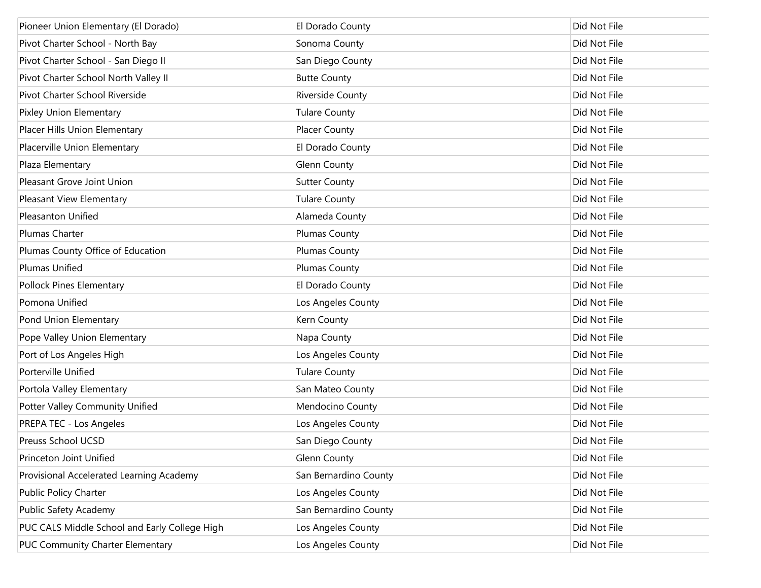| Pioneer Union Elementary (El Dorado)          | El Dorado County      | Did Not File |
|-----------------------------------------------|-----------------------|--------------|
| Pivot Charter School - North Bay              | Sonoma County         | Did Not File |
| Pivot Charter School - San Diego II           | San Diego County      | Did Not File |
| Pivot Charter School North Valley II          | <b>Butte County</b>   | Did Not File |
| Pivot Charter School Riverside                | Riverside County      | Did Not File |
| Pixley Union Elementary                       | <b>Tulare County</b>  | Did Not File |
| Placer Hills Union Elementary                 | <b>Placer County</b>  | Did Not File |
| Placerville Union Elementary                  | El Dorado County      | Did Not File |
| Plaza Elementary                              | <b>Glenn County</b>   | Did Not File |
| Pleasant Grove Joint Union                    | <b>Sutter County</b>  | Did Not File |
| Pleasant View Elementary                      | <b>Tulare County</b>  | Did Not File |
| <b>Pleasanton Unified</b>                     | Alameda County        | Did Not File |
| Plumas Charter                                | <b>Plumas County</b>  | Did Not File |
| Plumas County Office of Education             | Plumas County         | Did Not File |
| Plumas Unified                                | <b>Plumas County</b>  | Did Not File |
| Pollock Pines Elementary                      | El Dorado County      | Did Not File |
| Pomona Unified                                | Los Angeles County    | Did Not File |
| Pond Union Elementary                         | Kern County           | Did Not File |
| Pope Valley Union Elementary                  | Napa County           | Did Not File |
| Port of Los Angeles High                      | Los Angeles County    | Did Not File |
| Porterville Unified                           | <b>Tulare County</b>  | Did Not File |
| Portola Valley Elementary                     | San Mateo County      | Did Not File |
| Potter Valley Community Unified               | Mendocino County      | Did Not File |
| PREPA TEC - Los Angeles                       | Los Angeles County    | Did Not File |
| Preuss School UCSD                            | San Diego County      | Did Not File |
| Princeton Joint Unified                       | <b>Glenn County</b>   | Did Not File |
| Provisional Accelerated Learning Academy      | San Bernardino County | Did Not File |
| Public Policy Charter                         | Los Angeles County    | Did Not File |
| Public Safety Academy                         | San Bernardino County | Did Not File |
| PUC CALS Middle School and Early College High | Los Angeles County    | Did Not File |
| PUC Community Charter Elementary              | Los Angeles County    | Did Not File |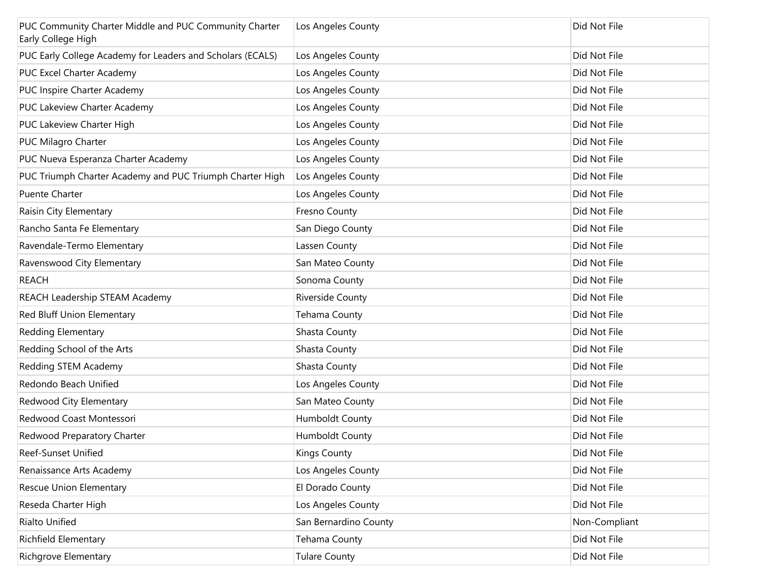| PUC Community Charter Middle and PUC Community Charter<br>Early College High | Los Angeles County    | Did Not File  |
|------------------------------------------------------------------------------|-----------------------|---------------|
| PUC Early College Academy for Leaders and Scholars (ECALS)                   | Los Angeles County    | Did Not File  |
| PUC Excel Charter Academy                                                    | Los Angeles County    | Did Not File  |
| PUC Inspire Charter Academy                                                  | Los Angeles County    | Did Not File  |
| PUC Lakeview Charter Academy                                                 | Los Angeles County    | Did Not File  |
| PUC Lakeview Charter High                                                    | Los Angeles County    | Did Not File  |
| PUC Milagro Charter                                                          | Los Angeles County    | Did Not File  |
| PUC Nueva Esperanza Charter Academy                                          | Los Angeles County    | Did Not File  |
| PUC Triumph Charter Academy and PUC Triumph Charter High                     | Los Angeles County    | Did Not File  |
| <b>Puente Charter</b>                                                        | Los Angeles County    | Did Not File  |
| Raisin City Elementary                                                       | Fresno County         | Did Not File  |
| Rancho Santa Fe Elementary                                                   | San Diego County      | Did Not File  |
| Ravendale-Termo Elementary                                                   | Lassen County         | Did Not File  |
| Ravenswood City Elementary                                                   | San Mateo County      | Did Not File  |
| <b>REACH</b>                                                                 | Sonoma County         | Did Not File  |
| REACH Leadership STEAM Academy                                               | Riverside County      | Did Not File  |
| Red Bluff Union Elementary                                                   | Tehama County         | Did Not File  |
| Redding Elementary                                                           | Shasta County         | Did Not File  |
| Redding School of the Arts                                                   | Shasta County         | Did Not File  |
| Redding STEM Academy                                                         | Shasta County         | Did Not File  |
| Redondo Beach Unified                                                        | Los Angeles County    | Did Not File  |
| Redwood City Elementary                                                      | San Mateo County      | Did Not File  |
| Redwood Coast Montessori                                                     | Humboldt County       | Did Not File  |
| Redwood Preparatory Charter                                                  | Humboldt County       | Did Not File  |
| Reef-Sunset Unified                                                          | <b>Kings County</b>   | Did Not File  |
| Renaissance Arts Academy                                                     | Los Angeles County    | Did Not File  |
| Rescue Union Elementary                                                      | El Dorado County      | Did Not File  |
| Reseda Charter High                                                          | Los Angeles County    | Did Not File  |
| Rialto Unified                                                               | San Bernardino County | Non-Compliant |
| <b>Richfield Elementary</b>                                                  | Tehama County         | Did Not File  |
| Richgrove Elementary                                                         | <b>Tulare County</b>  | Did Not File  |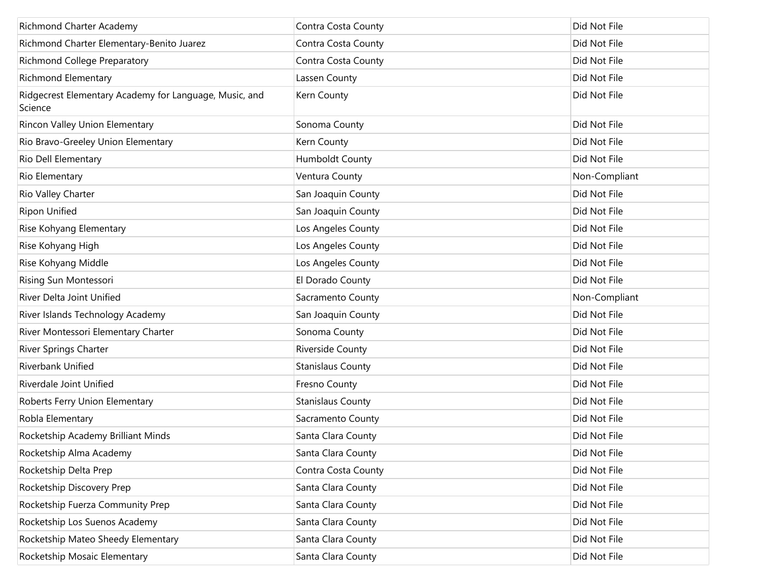| Richmond Charter Academy                                          | Contra Costa County      | Did Not File  |
|-------------------------------------------------------------------|--------------------------|---------------|
| Richmond Charter Elementary-Benito Juarez                         | Contra Costa County      | Did Not File  |
| Richmond College Preparatory                                      | Contra Costa County      | Did Not File  |
| <b>Richmond Elementary</b>                                        | Lassen County            | Did Not File  |
| Ridgecrest Elementary Academy for Language, Music, and<br>Science | Kern County              | Did Not File  |
| Rincon Valley Union Elementary                                    | Sonoma County            | Did Not File  |
| Rio Bravo-Greeley Union Elementary                                | Kern County              | Did Not File  |
| Rio Dell Elementary                                               | Humboldt County          | Did Not File  |
| Rio Elementary                                                    | Ventura County           | Non-Compliant |
| Rio Valley Charter                                                | San Joaquin County       | Did Not File  |
| <b>Ripon Unified</b>                                              | San Joaquin County       | Did Not File  |
| Rise Kohyang Elementary                                           | Los Angeles County       | Did Not File  |
| Rise Kohyang High                                                 | Los Angeles County       | Did Not File  |
| Rise Kohyang Middle                                               | Los Angeles County       | Did Not File  |
| Rising Sun Montessori                                             | El Dorado County         | Did Not File  |
| River Delta Joint Unified                                         | Sacramento County        | Non-Compliant |
| River Islands Technology Academy                                  | San Joaquin County       | Did Not File  |
| River Montessori Elementary Charter                               | Sonoma County            | Did Not File  |
| River Springs Charter                                             | Riverside County         | Did Not File  |
| Riverbank Unified                                                 | <b>Stanislaus County</b> | Did Not File  |
| Riverdale Joint Unified                                           | Fresno County            | Did Not File  |
| Roberts Ferry Union Elementary                                    | <b>Stanislaus County</b> | Did Not File  |
| Robla Elementary                                                  | Sacramento County        | Did Not File  |
| Rocketship Academy Brilliant Minds                                | Santa Clara County       | Did Not File  |
| Rocketship Alma Academy                                           | Santa Clara County       | Did Not File  |
| Rocketship Delta Prep                                             | Contra Costa County      | Did Not File  |
| Rocketship Discovery Prep                                         | Santa Clara County       | Did Not File  |
| Rocketship Fuerza Community Prep                                  | Santa Clara County       | Did Not File  |
| Rocketship Los Suenos Academy                                     | Santa Clara County       | Did Not File  |
| Rocketship Mateo Sheedy Elementary                                | Santa Clara County       | Did Not File  |
| Rocketship Mosaic Elementary                                      | Santa Clara County       | Did Not File  |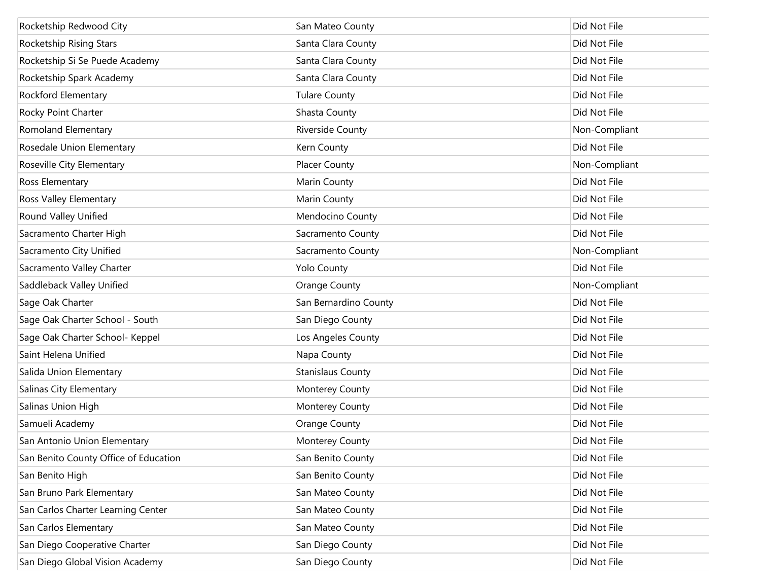| Rocketship Redwood City               | San Mateo County         | Did Not File  |
|---------------------------------------|--------------------------|---------------|
| Rocketship Rising Stars               | Santa Clara County       | Did Not File  |
| Rocketship Si Se Puede Academy        | Santa Clara County       | Did Not File  |
| Rocketship Spark Academy              | Santa Clara County       | Did Not File  |
| Rockford Elementary                   | <b>Tulare County</b>     | Did Not File  |
| Rocky Point Charter                   | Shasta County            | Did Not File  |
| Romoland Elementary                   | Riverside County         | Non-Compliant |
| Rosedale Union Elementary             | Kern County              | Did Not File  |
| Roseville City Elementary             | <b>Placer County</b>     | Non-Compliant |
| Ross Elementary                       | Marin County             | Did Not File  |
| Ross Valley Elementary                | Marin County             | Did Not File  |
| Round Valley Unified                  | Mendocino County         | Did Not File  |
| Sacramento Charter High               | Sacramento County        | Did Not File  |
| Sacramento City Unified               | Sacramento County        | Non-Compliant |
| Sacramento Valley Charter             | <b>Yolo County</b>       | Did Not File  |
| Saddleback Valley Unified             | Orange County            | Non-Compliant |
| Sage Oak Charter                      | San Bernardino County    | Did Not File  |
| Sage Oak Charter School - South       | San Diego County         | Did Not File  |
| Sage Oak Charter School- Keppel       | Los Angeles County       | Did Not File  |
| Saint Helena Unified                  | Napa County              | Did Not File  |
| Salida Union Elementary               | <b>Stanislaus County</b> | Did Not File  |
| Salinas City Elementary               | Monterey County          | Did Not File  |
| Salinas Union High                    | Monterey County          | Did Not File  |
| Samueli Academy                       | Orange County            | Did Not File  |
| San Antonio Union Elementary          | Monterey County          | Did Not File  |
| San Benito County Office of Education | San Benito County        | Did Not File  |
| San Benito High                       | San Benito County        | Did Not File  |
| San Bruno Park Elementary             | San Mateo County         | Did Not File  |
| San Carlos Charter Learning Center    | San Mateo County         | Did Not File  |
| San Carlos Elementary                 | San Mateo County         | Did Not File  |
| San Diego Cooperative Charter         | San Diego County         | Did Not File  |
| San Diego Global Vision Academy       | San Diego County         | Did Not File  |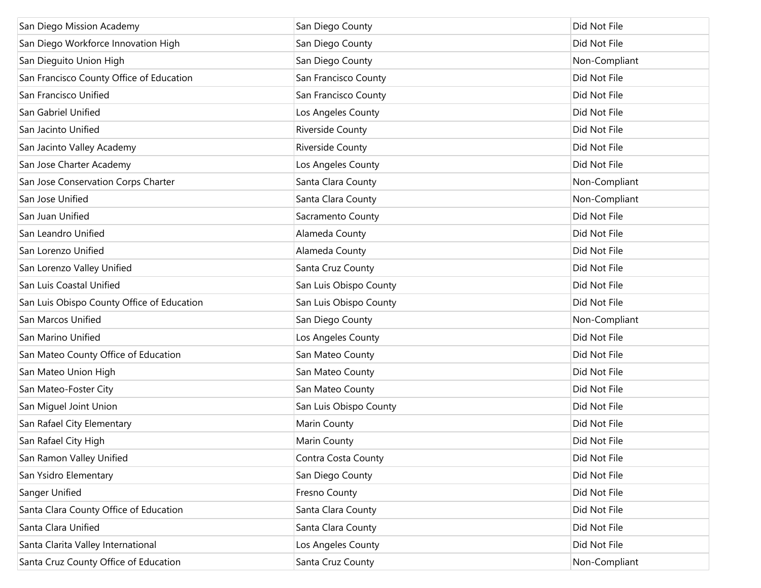| San Diego Mission Academy                  | San Diego County        | Did Not File  |
|--------------------------------------------|-------------------------|---------------|
| San Diego Workforce Innovation High        | San Diego County        | Did Not File  |
| San Dieguito Union High                    | San Diego County        | Non-Compliant |
| San Francisco County Office of Education   | San Francisco County    | Did Not File  |
| San Francisco Unified                      | San Francisco County    | Did Not File  |
| San Gabriel Unified                        | Los Angeles County      | Did Not File  |
| San Jacinto Unified                        | <b>Riverside County</b> | Did Not File  |
| San Jacinto Valley Academy                 | <b>Riverside County</b> | Did Not File  |
| San Jose Charter Academy                   | Los Angeles County      | Did Not File  |
| San Jose Conservation Corps Charter        | Santa Clara County      | Non-Compliant |
| San Jose Unified                           | Santa Clara County      | Non-Compliant |
| San Juan Unified                           | Sacramento County       | Did Not File  |
| San Leandro Unified                        | Alameda County          | Did Not File  |
| San Lorenzo Unified                        | Alameda County          | Did Not File  |
| San Lorenzo Valley Unified                 | Santa Cruz County       | Did Not File  |
| San Luis Coastal Unified                   | San Luis Obispo County  | Did Not File  |
| San Luis Obispo County Office of Education | San Luis Obispo County  | Did Not File  |
| San Marcos Unified                         | San Diego County        | Non-Compliant |
| San Marino Unified                         | Los Angeles County      | Did Not File  |
| San Mateo County Office of Education       | San Mateo County        | Did Not File  |
| San Mateo Union High                       | San Mateo County        | Did Not File  |
| San Mateo-Foster City                      | San Mateo County        | Did Not File  |
| San Miguel Joint Union                     | San Luis Obispo County  | Did Not File  |
| San Rafael City Elementary                 | Marin County            | Did Not File  |
| San Rafael City High                       | Marin County            | Did Not File  |
| San Ramon Valley Unified                   | Contra Costa County     | Did Not File  |
| San Ysidro Elementary                      | San Diego County        | Did Not File  |
| Sanger Unified                             | Fresno County           | Did Not File  |
| Santa Clara County Office of Education     | Santa Clara County      | Did Not File  |
| Santa Clara Unified                        | Santa Clara County      | Did Not File  |
| Santa Clarita Valley International         | Los Angeles County      | Did Not File  |
| Santa Cruz County Office of Education      | Santa Cruz County       | Non-Compliant |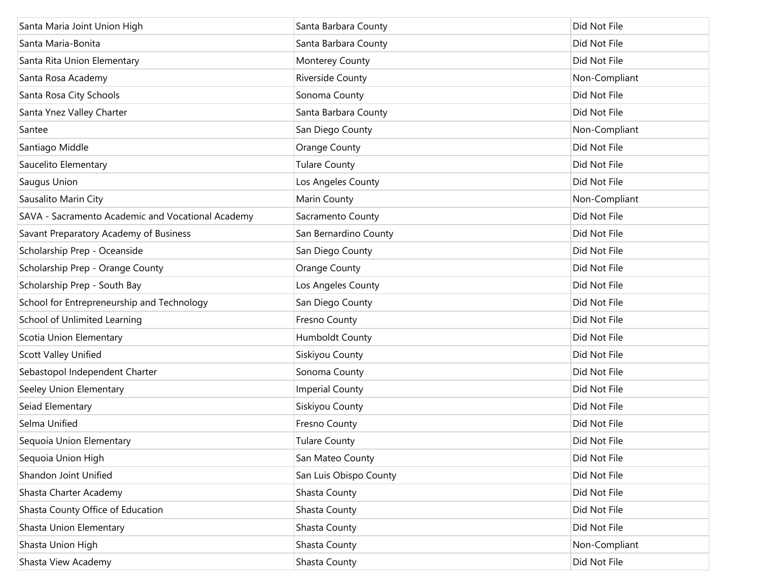| Santa Maria Joint Union High                      | Santa Barbara County   | Did Not File  |
|---------------------------------------------------|------------------------|---------------|
| Santa Maria-Bonita                                | Santa Barbara County   | Did Not File  |
| Santa Rita Union Elementary                       | Monterey County        | Did Not File  |
| Santa Rosa Academy                                | Riverside County       | Non-Compliant |
| Santa Rosa City Schools                           | Sonoma County          | Did Not File  |
| Santa Ynez Valley Charter                         | Santa Barbara County   | Did Not File  |
| Santee                                            | San Diego County       | Non-Compliant |
| Santiago Middle                                   | Orange County          | Did Not File  |
| Saucelito Elementary                              | <b>Tulare County</b>   | Did Not File  |
| Saugus Union                                      | Los Angeles County     | Did Not File  |
| Sausalito Marin City                              | Marin County           | Non-Compliant |
| SAVA - Sacramento Academic and Vocational Academy | Sacramento County      | Did Not File  |
| Savant Preparatory Academy of Business            | San Bernardino County  | Did Not File  |
| Scholarship Prep - Oceanside                      | San Diego County       | Did Not File  |
| Scholarship Prep - Orange County                  | <b>Orange County</b>   | Did Not File  |
| Scholarship Prep - South Bay                      | Los Angeles County     | Did Not File  |
| School for Entrepreneurship and Technology        | San Diego County       | Did Not File  |
| School of Unlimited Learning                      | Fresno County          | Did Not File  |
| Scotia Union Elementary                           | Humboldt County        | Did Not File  |
| <b>Scott Valley Unified</b>                       | Siskiyou County        | Did Not File  |
| Sebastopol Independent Charter                    | Sonoma County          | Did Not File  |
| Seeley Union Elementary                           | <b>Imperial County</b> | Did Not File  |
| Seiad Elementary                                  | Siskiyou County        | Did Not File  |
| Selma Unified                                     | Fresno County          | Did Not File  |
| Sequoia Union Elementary                          | <b>Tulare County</b>   | Did Not File  |
| Sequoia Union High                                | San Mateo County       | Did Not File  |
| Shandon Joint Unified                             | San Luis Obispo County | Did Not File  |
| Shasta Charter Academy                            | Shasta County          | Did Not File  |
| Shasta County Office of Education                 | Shasta County          | Did Not File  |
| Shasta Union Elementary                           | Shasta County          | Did Not File  |
| Shasta Union High                                 | Shasta County          | Non-Compliant |
| Shasta View Academy                               | Shasta County          | Did Not File  |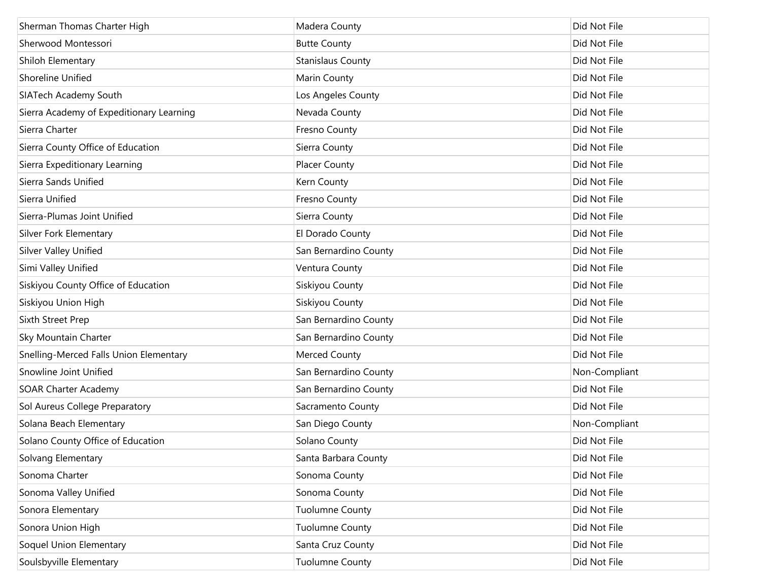| Sherman Thomas Charter High              | Madera County            | Did Not File  |
|------------------------------------------|--------------------------|---------------|
| Sherwood Montessori                      | <b>Butte County</b>      | Did Not File  |
| Shiloh Elementary                        | <b>Stanislaus County</b> | Did Not File  |
| Shoreline Unified                        | Marin County             | Did Not File  |
| SIATech Academy South                    | Los Angeles County       | Did Not File  |
| Sierra Academy of Expeditionary Learning | Nevada County            | Did Not File  |
| Sierra Charter                           | Fresno County            | Did Not File  |
| Sierra County Office of Education        | Sierra County            | Did Not File  |
| Sierra Expeditionary Learning            | <b>Placer County</b>     | Did Not File  |
| Sierra Sands Unified                     | Kern County              | Did Not File  |
| Sierra Unified                           | Fresno County            | Did Not File  |
| Sierra-Plumas Joint Unified              | Sierra County            | Did Not File  |
| <b>Silver Fork Elementary</b>            | El Dorado County         | Did Not File  |
| <b>Silver Valley Unified</b>             | San Bernardino County    | Did Not File  |
| Simi Valley Unified                      | Ventura County           | Did Not File  |
| Siskiyou County Office of Education      | Siskiyou County          | Did Not File  |
| Siskiyou Union High                      | Siskiyou County          | Did Not File  |
| Sixth Street Prep                        | San Bernardino County    | Did Not File  |
| <b>Sky Mountain Charter</b>              | San Bernardino County    | Did Not File  |
| Snelling-Merced Falls Union Elementary   | <b>Merced County</b>     | Did Not File  |
| Snowline Joint Unified                   | San Bernardino County    | Non-Compliant |
| <b>SOAR Charter Academy</b>              | San Bernardino County    | Did Not File  |
| Sol Aureus College Preparatory           | Sacramento County        | Did Not File  |
| Solana Beach Elementary                  | San Diego County         | Non-Compliant |
| Solano County Office of Education        | Solano County            | Did Not File  |
| Solvang Elementary                       | Santa Barbara County     | Did Not File  |
| Sonoma Charter                           | Sonoma County            | Did Not File  |
| Sonoma Valley Unified                    | Sonoma County            | Did Not File  |
| Sonora Elementary                        | <b>Tuolumne County</b>   | Did Not File  |
| Sonora Union High                        | <b>Tuolumne County</b>   | Did Not File  |
| Soquel Union Elementary                  | Santa Cruz County        | Did Not File  |
| Soulsbyville Elementary                  | <b>Tuolumne County</b>   | Did Not File  |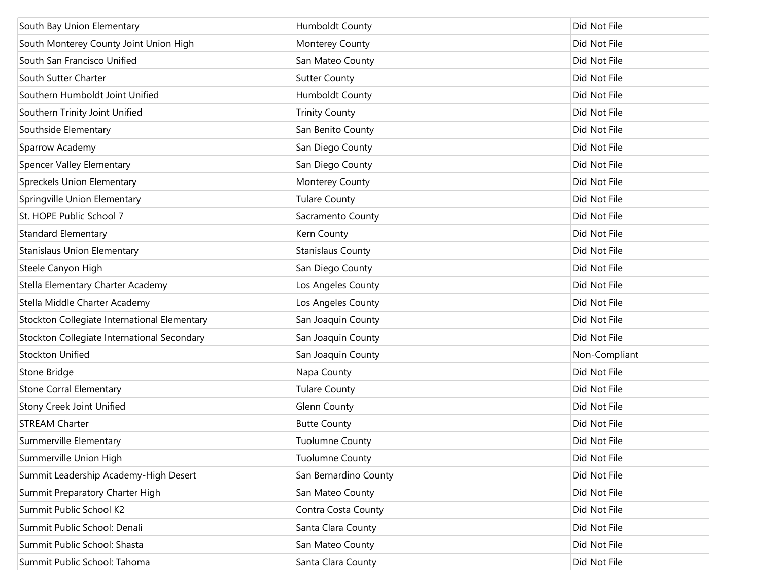| South Bay Union Elementary                   | Humboldt County          | Did Not File  |
|----------------------------------------------|--------------------------|---------------|
| South Monterey County Joint Union High       | Monterey County          | Did Not File  |
| South San Francisco Unified                  | San Mateo County         | Did Not File  |
| South Sutter Charter                         | <b>Sutter County</b>     | Did Not File  |
| Southern Humboldt Joint Unified              | Humboldt County          | Did Not File  |
| Southern Trinity Joint Unified               | <b>Trinity County</b>    | Did Not File  |
| Southside Elementary                         | San Benito County        | Did Not File  |
| Sparrow Academy                              | San Diego County         | Did Not File  |
| <b>Spencer Valley Elementary</b>             | San Diego County         | Did Not File  |
| <b>Spreckels Union Elementary</b>            | Monterey County          | Did Not File  |
| Springville Union Elementary                 | <b>Tulare County</b>     | Did Not File  |
| St. HOPE Public School 7                     | Sacramento County        | Did Not File  |
| <b>Standard Elementary</b>                   | Kern County              | Did Not File  |
| <b>Stanislaus Union Elementary</b>           | <b>Stanislaus County</b> | Did Not File  |
| Steele Canyon High                           | San Diego County         | Did Not File  |
| Stella Elementary Charter Academy            | Los Angeles County       | Did Not File  |
| Stella Middle Charter Academy                | Los Angeles County       | Did Not File  |
| Stockton Collegiate International Elementary | San Joaquin County       | Did Not File  |
| Stockton Collegiate International Secondary  | San Joaquin County       | Did Not File  |
| Stockton Unified                             | San Joaquin County       | Non-Compliant |
| Stone Bridge                                 | Napa County              | Did Not File  |
| <b>Stone Corral Elementary</b>               | <b>Tulare County</b>     | Did Not File  |
| <b>Stony Creek Joint Unified</b>             | <b>Glenn County</b>      | Did Not File  |
| <b>STREAM Charter</b>                        | <b>Butte County</b>      | Did Not File  |
| Summerville Elementary                       | <b>Tuolumne County</b>   | Did Not File  |
| Summerville Union High                       | <b>Tuolumne County</b>   | Did Not File  |
| Summit Leadership Academy-High Desert        | San Bernardino County    | Did Not File  |
| Summit Preparatory Charter High              | San Mateo County         | Did Not File  |
| Summit Public School K2                      | Contra Costa County      | Did Not File  |
| Summit Public School: Denali                 | Santa Clara County       | Did Not File  |
| Summit Public School: Shasta                 | San Mateo County         | Did Not File  |
| Summit Public School: Tahoma                 | Santa Clara County       | Did Not File  |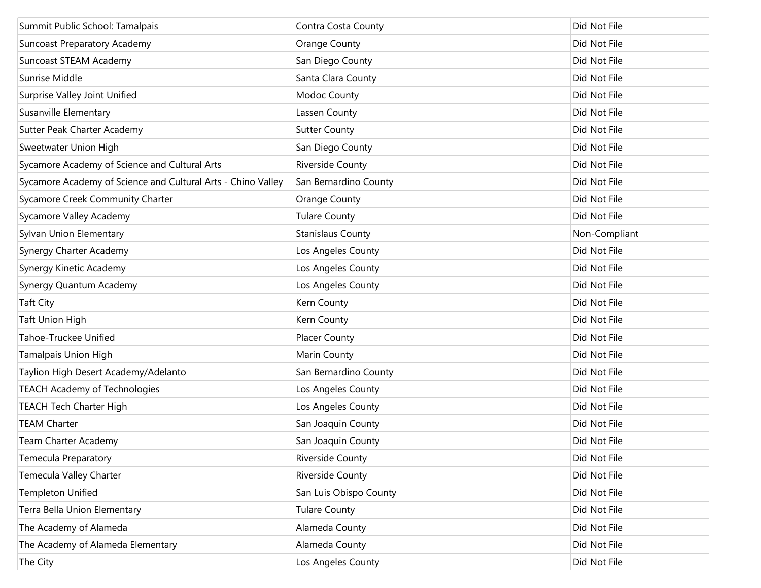| Summit Public School: Tamalpais                              | Contra Costa County      | Did Not File  |
|--------------------------------------------------------------|--------------------------|---------------|
| <b>Suncoast Preparatory Academy</b>                          | <b>Orange County</b>     | Did Not File  |
| Suncoast STEAM Academy                                       | San Diego County         | Did Not File  |
| Sunrise Middle                                               | Santa Clara County       | Did Not File  |
| Surprise Valley Joint Unified                                | Modoc County             | Did Not File  |
| Susanville Elementary                                        | Lassen County            | Did Not File  |
| Sutter Peak Charter Academy                                  | <b>Sutter County</b>     | Did Not File  |
| Sweetwater Union High                                        | San Diego County         | Did Not File  |
| Sycamore Academy of Science and Cultural Arts                | Riverside County         | Did Not File  |
| Sycamore Academy of Science and Cultural Arts - Chino Valley | San Bernardino County    | Did Not File  |
| Sycamore Creek Community Charter                             | <b>Orange County</b>     | Did Not File  |
| Sycamore Valley Academy                                      | <b>Tulare County</b>     | Did Not File  |
| Sylvan Union Elementary                                      | <b>Stanislaus County</b> | Non-Compliant |
| Synergy Charter Academy                                      | Los Angeles County       | Did Not File  |
| Synergy Kinetic Academy                                      | Los Angeles County       | Did Not File  |
| Synergy Quantum Academy                                      | Los Angeles County       | Did Not File  |
| <b>Taft City</b>                                             | Kern County              | Did Not File  |
| Taft Union High                                              | Kern County              | Did Not File  |
| Tahoe-Truckee Unified                                        | <b>Placer County</b>     | Did Not File  |
| Tamalpais Union High                                         | Marin County             | Did Not File  |
| Taylion High Desert Academy/Adelanto                         | San Bernardino County    | Did Not File  |
| <b>TEACH Academy of Technologies</b>                         | Los Angeles County       | Did Not File  |
| <b>TEACH Tech Charter High</b>                               | Los Angeles County       | Did Not File  |
| <b>TEAM Charter</b>                                          | San Joaquin County       | Did Not File  |
| Team Charter Academy                                         | San Joaquin County       | Did Not File  |
| <b>Temecula Preparatory</b>                                  | <b>Riverside County</b>  | Did Not File  |
| Temecula Valley Charter                                      | Riverside County         | Did Not File  |
| <b>Templeton Unified</b>                                     | San Luis Obispo County   | Did Not File  |
| Terra Bella Union Elementary                                 | Tulare County            | Did Not File  |
| The Academy of Alameda                                       | Alameda County           | Did Not File  |
| The Academy of Alameda Elementary                            | Alameda County           | Did Not File  |
| The City                                                     | Los Angeles County       | Did Not File  |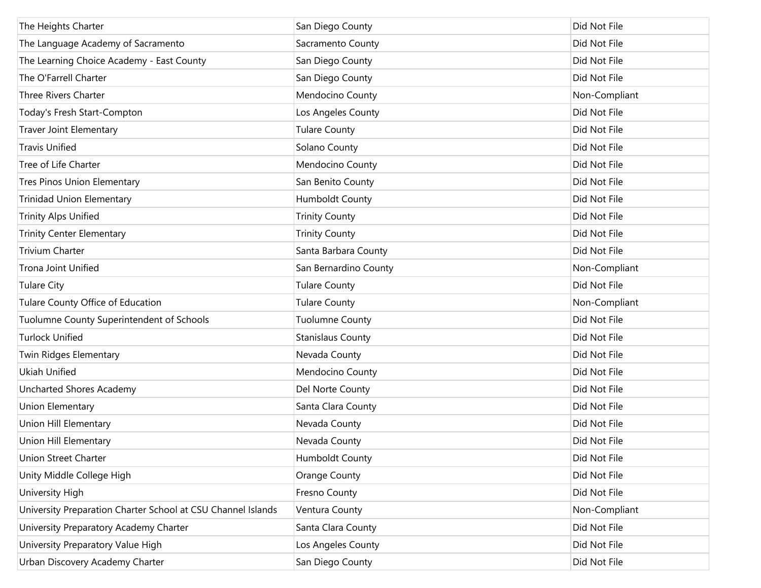| The Heights Charter                                          | San Diego County         | Did Not File  |
|--------------------------------------------------------------|--------------------------|---------------|
| The Language Academy of Sacramento                           | Sacramento County        | Did Not File  |
| The Learning Choice Academy - East County                    | San Diego County         | Did Not File  |
| The O'Farrell Charter                                        | San Diego County         | Did Not File  |
| Three Rivers Charter                                         | Mendocino County         | Non-Compliant |
| Today's Fresh Start-Compton                                  | Los Angeles County       | Did Not File  |
| <b>Traver Joint Elementary</b>                               | <b>Tulare County</b>     | Did Not File  |
| <b>Travis Unified</b>                                        | Solano County            | Did Not File  |
| Tree of Life Charter                                         | Mendocino County         | Did Not File  |
| Tres Pinos Union Elementary                                  | San Benito County        | Did Not File  |
| <b>Trinidad Union Elementary</b>                             | Humboldt County          | Did Not File  |
| <b>Trinity Alps Unified</b>                                  | <b>Trinity County</b>    | Did Not File  |
| <b>Trinity Center Elementary</b>                             | <b>Trinity County</b>    | Did Not File  |
| <b>Trivium Charter</b>                                       | Santa Barbara County     | Did Not File  |
| <b>Trona Joint Unified</b>                                   | San Bernardino County    | Non-Compliant |
| <b>Tulare City</b>                                           | <b>Tulare County</b>     | Did Not File  |
| Tulare County Office of Education                            | <b>Tulare County</b>     | Non-Compliant |
| Tuolumne County Superintendent of Schools                    | <b>Tuolumne County</b>   | Did Not File  |
| <b>Turlock Unified</b>                                       | <b>Stanislaus County</b> | Did Not File  |
| Twin Ridges Elementary                                       | Nevada County            | Did Not File  |
| <b>Ukiah Unified</b>                                         | Mendocino County         | Did Not File  |
| Uncharted Shores Academy                                     | Del Norte County         | Did Not File  |
| Union Elementary                                             | Santa Clara County       | Did Not File  |
| Union Hill Elementary                                        | Nevada County            | Did Not File  |
| Union Hill Elementary                                        | Nevada County            | Did Not File  |
| Union Street Charter                                         | Humboldt County          | Did Not File  |
| Unity Middle College High                                    | <b>Orange County</b>     | Did Not File  |
| University High                                              | Fresno County            | Did Not File  |
| University Preparation Charter School at CSU Channel Islands | Ventura County           | Non-Compliant |
| University Preparatory Academy Charter                       | Santa Clara County       | Did Not File  |
| University Preparatory Value High                            | Los Angeles County       | Did Not File  |
| Urban Discovery Academy Charter                              | San Diego County         | Did Not File  |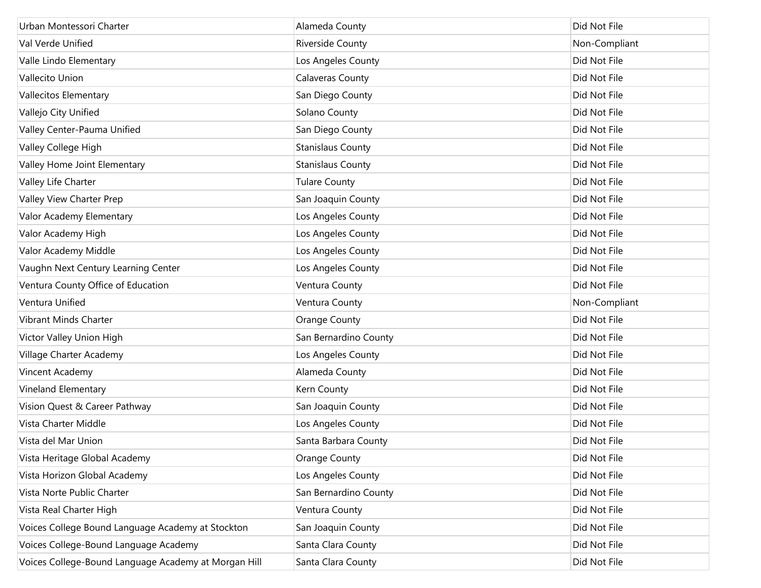| Urban Montessori Charter                             | Alameda County           | Did Not File  |
|------------------------------------------------------|--------------------------|---------------|
| Val Verde Unified                                    | Riverside County         | Non-Compliant |
| Valle Lindo Elementary                               | Los Angeles County       | Did Not File  |
| Vallecito Union                                      | <b>Calaveras County</b>  | Did Not File  |
| Vallecitos Elementary                                | San Diego County         | Did Not File  |
| Vallejo City Unified                                 | Solano County            | Did Not File  |
| Valley Center-Pauma Unified                          | San Diego County         | Did Not File  |
| Valley College High                                  | <b>Stanislaus County</b> | Did Not File  |
| Valley Home Joint Elementary                         | <b>Stanislaus County</b> | Did Not File  |
| Valley Life Charter                                  | <b>Tulare County</b>     | Did Not File  |
| Valley View Charter Prep                             | San Joaquin County       | Did Not File  |
| Valor Academy Elementary                             | Los Angeles County       | Did Not File  |
| Valor Academy High                                   | Los Angeles County       | Did Not File  |
| Valor Academy Middle                                 | Los Angeles County       | Did Not File  |
| Vaughn Next Century Learning Center                  | Los Angeles County       | Did Not File  |
| Ventura County Office of Education                   | Ventura County           | Did Not File  |
| Ventura Unified                                      | Ventura County           | Non-Compliant |
| Vibrant Minds Charter                                | Orange County            | Did Not File  |
| Victor Valley Union High                             | San Bernardino County    | Did Not File  |
| Village Charter Academy                              | Los Angeles County       | Did Not File  |
| Vincent Academy                                      | Alameda County           | Did Not File  |
| Vineland Elementary                                  | Kern County              | Did Not File  |
| Vision Quest & Career Pathway                        | San Joaquin County       | Did Not File  |
| Vista Charter Middle                                 | Los Angeles County       | Did Not File  |
| Vista del Mar Union                                  | Santa Barbara County     | Did Not File  |
| Vista Heritage Global Academy                        | <b>Orange County</b>     | Did Not File  |
| Vista Horizon Global Academy                         | Los Angeles County       | Did Not File  |
| Vista Norte Public Charter                           | San Bernardino County    | Did Not File  |
| Vista Real Charter High                              | Ventura County           | Did Not File  |
| Voices College Bound Language Academy at Stockton    | San Joaquin County       | Did Not File  |
| Voices College-Bound Language Academy                | Santa Clara County       | Did Not File  |
| Voices College-Bound Language Academy at Morgan Hill | Santa Clara County       | Did Not File  |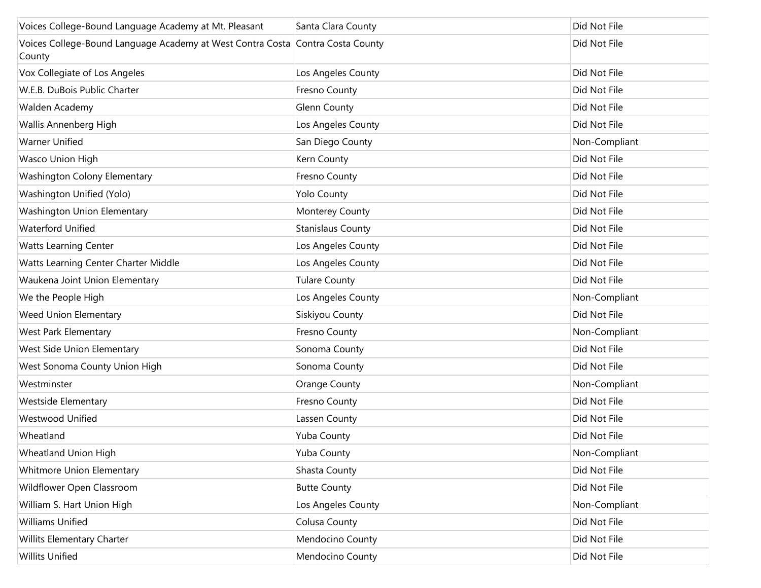| Voices College-Bound Language Academy at Mt. Pleasant                                    | Santa Clara County       | Did Not File  |
|------------------------------------------------------------------------------------------|--------------------------|---------------|
| Voices College-Bound Language Academy at West Contra Costa Contra Costa County<br>County |                          | Did Not File  |
| Vox Collegiate of Los Angeles                                                            | Los Angeles County       | Did Not File  |
| W.E.B. DuBois Public Charter                                                             | Fresno County            | Did Not File  |
| Walden Academy                                                                           | Glenn County             | Did Not File  |
| Wallis Annenberg High                                                                    | Los Angeles County       | Did Not File  |
| <b>Warner Unified</b>                                                                    | San Diego County         | Non-Compliant |
| Wasco Union High                                                                         | Kern County              | Did Not File  |
| Washington Colony Elementary                                                             | Fresno County            | Did Not File  |
| Washington Unified (Yolo)                                                                | <b>Yolo County</b>       | Did Not File  |
| Washington Union Elementary                                                              | Monterey County          | Did Not File  |
| <b>Waterford Unified</b>                                                                 | <b>Stanislaus County</b> | Did Not File  |
| <b>Watts Learning Center</b>                                                             | Los Angeles County       | Did Not File  |
| Watts Learning Center Charter Middle                                                     | Los Angeles County       | Did Not File  |
| Waukena Joint Union Elementary                                                           | <b>Tulare County</b>     | Did Not File  |
| We the People High                                                                       | Los Angeles County       | Non-Compliant |
| Weed Union Elementary                                                                    | Siskiyou County          | Did Not File  |
| West Park Elementary                                                                     | Fresno County            | Non-Compliant |
| West Side Union Elementary                                                               | Sonoma County            | Did Not File  |
| West Sonoma County Union High                                                            | Sonoma County            | Did Not File  |
| Westminster                                                                              | Orange County            | Non-Compliant |
| <b>Westside Elementary</b>                                                               | Fresno County            | Did Not File  |
| Westwood Unified                                                                         | Lassen County            | Did Not File  |
| Wheatland                                                                                | Yuba County              | Did Not File  |
| Wheatland Union High                                                                     | Yuba County              | Non-Compliant |
| Whitmore Union Elementary                                                                | Shasta County            | Did Not File  |
| Wildflower Open Classroom                                                                | <b>Butte County</b>      | Did Not File  |
| William S. Hart Union High                                                               | Los Angeles County       | Non-Compliant |
| <b>Williams Unified</b>                                                                  | Colusa County            | Did Not File  |
| Willits Elementary Charter                                                               | Mendocino County         | Did Not File  |
| <b>Willits Unified</b>                                                                   | Mendocino County         | Did Not File  |